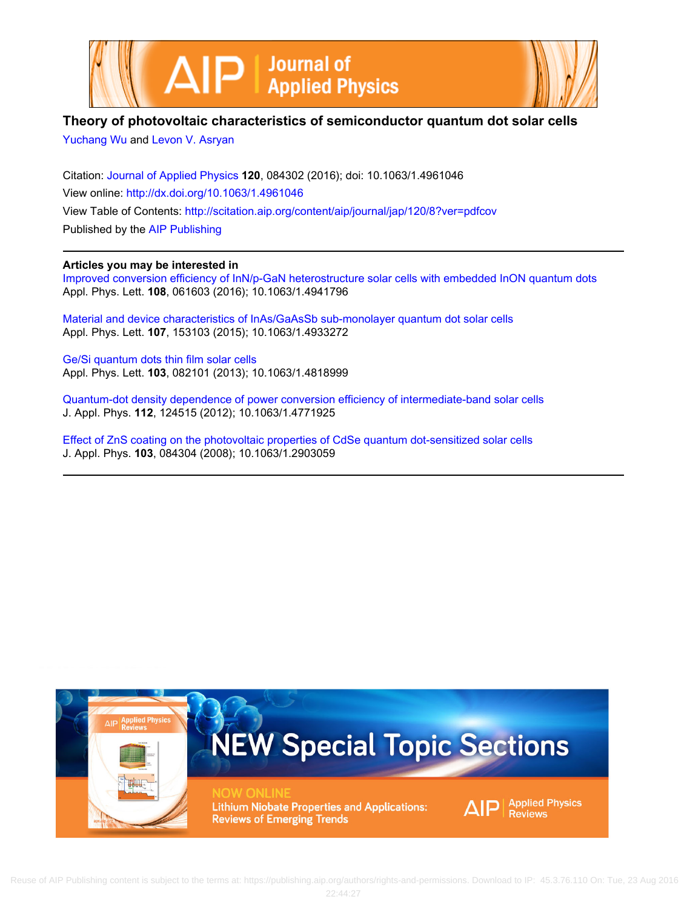



# **Theory of photovoltaic characteristics of semiconductor quantum dot solar cells**

[Yuchang Wu](http://scitation.aip.org/search?value1=Yuchang+Wu&option1=author) and [Levon V. Asryan](http://scitation.aip.org/search?value1=Levon+V.+Asryan&option1=author)

Citation: [Journal of Applied Physics](http://scitation.aip.org/content/aip/journal/jap?ver=pdfcov) **120**, 084302 (2016); doi: 10.1063/1.4961046 View online: <http://dx.doi.org/10.1063/1.4961046> View Table of Contents: <http://scitation.aip.org/content/aip/journal/jap/120/8?ver=pdfcov> Published by the [AIP Publishing](http://scitation.aip.org/content/aip?ver=pdfcov)

## **Articles you may be interested in**

[Improved conversion efficiency of InN/p-GaN heterostructure solar cells with embedded InON quantum dots](http://scitation.aip.org/content/aip/journal/apl/108/6/10.1063/1.4941796?ver=pdfcov) Appl. Phys. Lett. **108**, 061603 (2016); 10.1063/1.4941796

[Material and device characteristics of InAs/GaAsSb sub-monolayer quantum dot solar cells](http://scitation.aip.org/content/aip/journal/apl/107/15/10.1063/1.4933272?ver=pdfcov) Appl. Phys. Lett. **107**, 153103 (2015); 10.1063/1.4933272

[Ge/Si quantum dots thin film solar cells](http://scitation.aip.org/content/aip/journal/apl/103/8/10.1063/1.4818999?ver=pdfcov) Appl. Phys. Lett. **103**, 082101 (2013); 10.1063/1.4818999

[Quantum-dot density dependence of power conversion efficiency of intermediate-band solar cells](http://scitation.aip.org/content/aip/journal/jap/112/12/10.1063/1.4771925?ver=pdfcov) J. Appl. Phys. **112**, 124515 (2012); 10.1063/1.4771925

[Effect of ZnS coating on the photovoltaic properties of CdSe quantum dot-sensitized solar cells](http://scitation.aip.org/content/aip/journal/jap/103/8/10.1063/1.2903059?ver=pdfcov) J. Appl. Phys. **103**, 084304 (2008); 10.1063/1.2903059

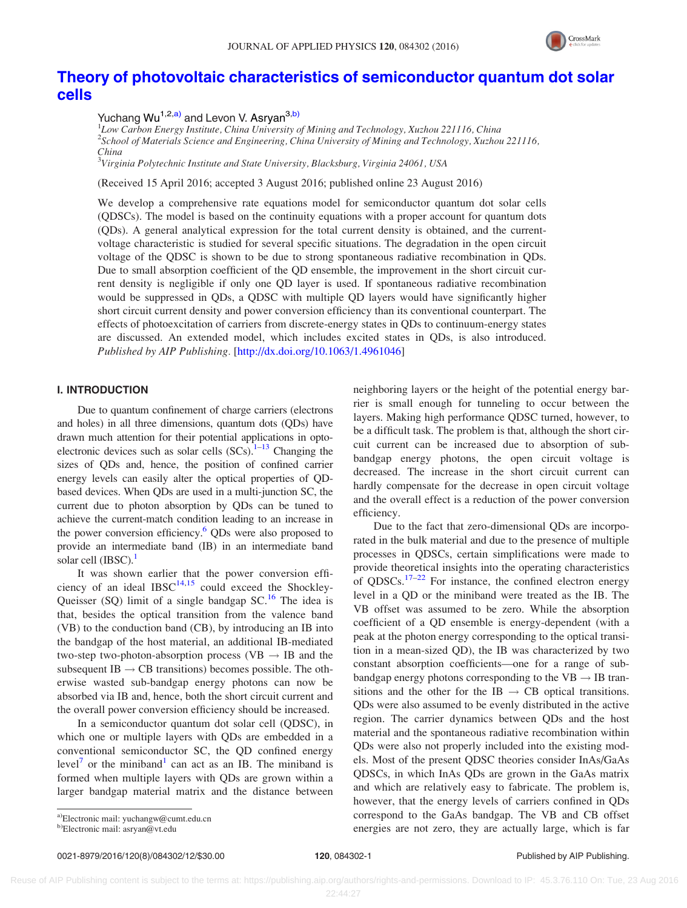

## [Theory of photovoltaic characteristics of semiconductor quantum dot solar](http://dx.doi.org/10.1063/1.4961046) [cells](http://dx.doi.org/10.1063/1.4961046)

Yuchang Wu<sup>1,2,a)</sup> and Levon V. Asrvan<sup>3,b)</sup>

<sup>1</sup>Low Carbon Energy Institute, China University of Mining and Technology, Xuzhou 221116, China 2 School of Materials Science and Engineering, China University of Mining and Technology, Xuzhou 221116, China

 $^3$ Virginia Polytechnic Institute and State University, Blacksburg, Virginia 24061, USA

(Received 15 April 2016; accepted 3 August 2016; published online 23 August 2016)

We develop a comprehensive rate equations model for semiconductor quantum dot solar cells (QDSCs). The model is based on the continuity equations with a proper account for quantum dots (QDs). A general analytical expression for the total current density is obtained, and the currentvoltage characteristic is studied for several specific situations. The degradation in the open circuit voltage of the QDSC is shown to be due to strong spontaneous radiative recombination in QDs. Due to small absorption coefficient of the QD ensemble, the improvement in the short circuit current density is negligible if only one QD layer is used. If spontaneous radiative recombination would be suppressed in QDs, a QDSC with multiple QD layers would have significantly higher short circuit current density and power conversion efficiency than its conventional counterpart. The effects of photoexcitation of carriers from discrete-energy states in QDs to continuum-energy states are discussed. An extended model, which includes excited states in QDs, is also introduced. Published by AIP Publishing. [[http://dx.doi.org/10.1063/1.4961046\]](http://dx.doi.org/10.1063/1.4961046)

## I. INTRODUCTION

Due to quantum confinement of charge carriers (electrons and holes) in all three dimensions, quantum dots (QDs) have drawn much attention for their potential applications in optoelectronic devices such as solar cells  $(SCs)$ .<sup>1–13</sup> Changing the sizes of QDs and, hence, the position of confined carrier energy levels can easily alter the optical properties of QDbased devices. When QDs are used in a multi-junction SC, the current due to photon absorption by QDs can be tuned to achieve the current-match condition leading to an increase in the power conversion efficiency.<sup>[6](#page-11-0)</sup> QDs were also proposed to provide an intermediate band (IB) in an intermediate band solar cell (IBSC).<sup>1</sup>

It was shown earlier that the power conversion efficiency of an ideal  $IBSC^{14,15}$  $IBSC^{14,15}$  $IBSC^{14,15}$  could exceed the Shockley-Queisser (SQ) limit of a single bandgap  $SC<sup>16</sup>$ . The idea is that, besides the optical transition from the valence band (VB) to the conduction band (CB), by introducing an IB into the bandgap of the host material, an additional IB-mediated two-step two-photon-absorption process (VB  $\rightarrow$  IB and the subsequent IB  $\rightarrow$  CB transitions) becomes possible. The otherwise wasted sub-bandgap energy photons can now be absorbed via IB and, hence, both the short circuit current and the overall power conversion efficiency should be increased.

In a semiconductor quantum dot solar cell (QDSC), in which one or multiple layers with QDs are embedded in a conventional semiconductor SC, the QD confined energy level<sup>[7](#page-11-0)</sup> or the miniband<sup>[1](#page-11-0)</sup> can act as an IB. The miniband is formed when multiple layers with QDs are grown within a larger bandgap material matrix and the distance between neighboring layers or the height of the potential energy barrier is small enough for tunneling to occur between the layers. Making high performance QDSC turned, however, to be a difficult task. The problem is that, although the short circuit current can be increased due to absorption of subbandgap energy photons, the open circuit voltage is decreased. The increase in the short circuit current can hardly compensate for the decrease in open circuit voltage and the overall effect is a reduction of the power conversion efficiency.

Due to the fact that zero-dimensional QDs are incorporated in the bulk material and due to the presence of multiple processes in QDSCs, certain simplifications were made to provide theoretical insights into the operating characteristics of QDSCs. $17-22$  $17-22$  $17-22$  For instance, the confined electron energy level in a QD or the miniband were treated as the IB. The VB offset was assumed to be zero. While the absorption coefficient of a QD ensemble is energy-dependent (with a peak at the photon energy corresponding to the optical transition in a mean-sized QD), the IB was characterized by two constant absorption coefficients—one for a range of subbandgap energy photons corresponding to the  $VB \rightarrow IB$  transitions and the other for the IB  $\rightarrow$  CB optical transitions. QDs were also assumed to be evenly distributed in the active region. The carrier dynamics between QDs and the host material and the spontaneous radiative recombination within QDs were also not properly included into the existing models. Most of the present QDSC theories consider InAs/GaAs QDSCs, in which InAs QDs are grown in the GaAs matrix and which are relatively easy to fabricate. The problem is, however, that the energy levels of carriers confined in QDs correspond to the GaAs bandgap. The VB and CB offset energies are not zero, they are actually large, which is far

a)Electronic mail: [yuchangw@cumt.edu.cn](mailto:yuchangw@cumt.edu.cn)

b)Electronic mail: [asryan@vt.edu](mailto:asryan@vt.edu)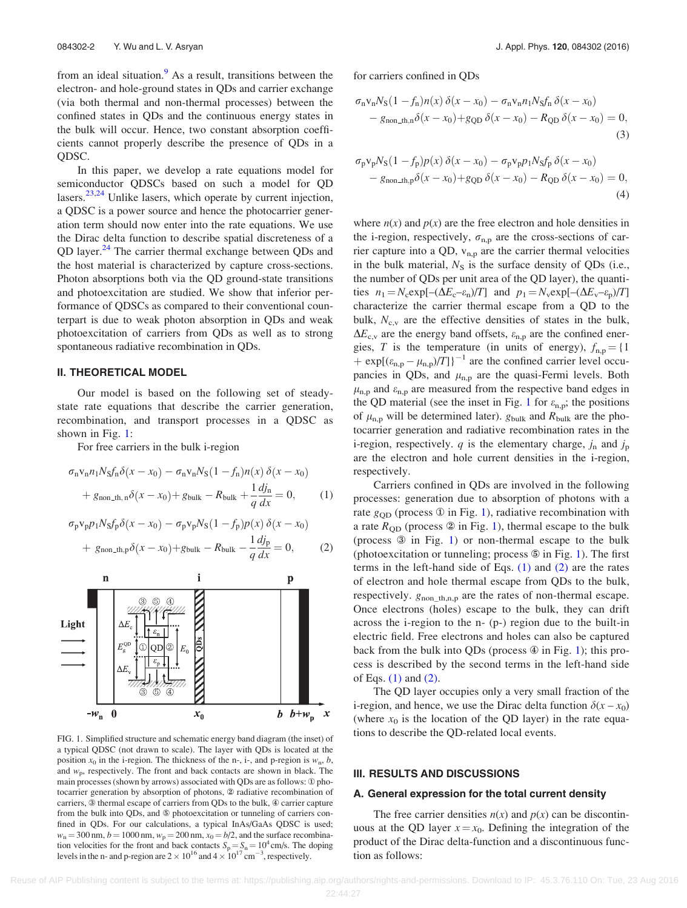<span id="page-2-0"></span>from an ideal situation.<sup>[9](#page-11-0)</sup> As a result, transitions between the electron- and hole-ground states in QDs and carrier exchange (via both thermal and non-thermal processes) between the confined states in QDs and the continuous energy states in the bulk will occur. Hence, two constant absorption coefficients cannot properly describe the presence of QDs in a QDSC.

In this paper, we develop a rate equations model for semiconductor QDSCs based on such a model for QD lasers.<sup>[23,24](#page-12-0)</sup> Unlike lasers, which operate by current injection, a QDSC is a power source and hence the photocarrier generation term should now enter into the rate equations. We use the Dirac delta function to describe spatial discreteness of a QD layer.<sup>[24](#page-12-0)</sup> The carrier thermal exchange between QDs and the host material is characterized by capture cross-sections. Photon absorptions both via the QD ground-state transitions and photoexcitation are studied. We show that inferior performance of QDSCs as compared to their conventional counterpart is due to weak photon absorption in QDs and weak photoexcitation of carriers from QDs as well as to strong spontaneous radiative recombination in QDs.

#### II. THEORETICAL MODEL

Our model is based on the following set of steadystate rate equations that describe the carrier generation, recombination, and transport processes in a QDSC as shown in Fig. 1:

For free carriers in the bulk i-region

$$
\sigma_{\rm n}v_{\rm n}n_{\rm 1}N_{\rm S}f_{\rm n}\delta(x-x_{0}) - \sigma_{\rm n}v_{\rm n}N_{\rm S}(1-f_{\rm n})n(x)\delta(x-x_{0})
$$

$$
+ g_{\rm non\_th, n}\delta(x-x_{0}) + g_{\rm bulk} - R_{\rm bulk} + \frac{1}{q}\frac{dj_{\rm n}}{dx} = 0,
$$
 (1)

$$
\sigma_{\rm p} \mathbf{v}_{\rm p} p_1 N_{\rm S} f_{\rm p} \delta(x - x_0) - \sigma_{\rm p} \mathbf{v}_{\rm p} N_{\rm S} (1 - f_{\rm p}) p(x) \delta(x - x_0)
$$

$$
+ g_{\rm non\_th,p} \delta(x - x_0) + g_{\rm bulk} - R_{\rm bulk} - \frac{1}{q} \frac{dj_{\rm p}}{dx} = 0, \qquad (2)
$$



FIG. 1. Simplified structure and schematic energy band diagram (the inset) of a typical QDSC (not drawn to scale). The layer with QDs is located at the position  $x_0$  in the i-region. The thickness of the n-, i-, and p-region is  $w_n$ , b, and  $w_p$ , respectively. The front and back contacts are shown in black. The main processes (shown by arrows) associated with QDs are as follows:  $\Phi$  photocarrier generation by absorption of photons, 2 radiative recombination of carriers,  $\circledast$  thermal escape of carriers from QDs to the bulk,  $\circledast$  carrier capture from the bulk into QDs, and  $\circledast$  photoexcitation or tunneling of carriers confined in QDs. For our calculations, a typical InAs/GaAs QDSC is used;  $w_n = 300$  nm,  $b = 1000$  nm,  $w_n = 200$  nm,  $x_0 = b/2$ , and the surface recombination velocities for the front and back contacts  $S_p = S_n = 10^4$  cm/s. The doping levels in the n- and p-region are  $2 \times 10^{16}$  and  $4 \times 10^{17}$  cm<sup>-3</sup>, respectively.

for carriers confined in QDs

$$
\sigma_{\rm n}v_{\rm n}N_{\rm S}(1-f_{\rm n})n(x)\,\delta(x-x_{0})-\sigma_{\rm n}v_{\rm n}n_{1}N_{\rm S}f_{\rm n}\,\delta(x-x_{0})\n-g_{\rm non-th,n}\delta(x-x_{0})+g_{\rm QD}\,\delta(x-x_{0})-R_{\rm QD}\,\delta(x-x_{0})=0,
$$
\n(3)

$$
\sigma_{p}v_{p}N_{S}(1-f_{p})p(x)\delta(x-x_{0})-\sigma_{p}v_{p}p_{1}N_{S}f_{p}\delta(x-x_{0})
$$
  
-  $g_{\text{non-th},p}\delta(x-x_{0})+g_{\text{QD}}\delta(x-x_{0})-R_{\text{QD}}\delta(x-x_{0})=0,$   
(4)

where  $n(x)$  and  $p(x)$  are the free electron and hole densities in the i-region, respectively,  $\sigma_{n,p}$  are the cross-sections of carrier capture into a QD,  $v_{n,p}$  are the carrier thermal velocities in the bulk material,  $N<sub>S</sub>$  is the surface density of QDs (i.e., the number of QDs per unit area of the QD layer), the quantities  $n_1 = N_c \exp[-(\Delta E_c - \varepsilon_n)/T]$  and  $p_1 = N_v \exp[-(\Delta E_v - \varepsilon_n)/T]$ characterize the carrier thermal escape from a QD to the bulk,  $N_{c,v}$  are the effective densities of states in the bulk,  $\Delta E_{c,v}$  are the energy band offsets,  $\varepsilon_{n,p}$  are the confined energies, T is the temperature (in units of energy),  $f_{\text{n,p}} = \{1\}$ +  $\exp[(\varepsilon_{n,p} - \mu_{n,p})/T]$ <sup>-1</sup> are the confined carrier level occupancies in QDs, and  $\mu_{n,p}$  are the quasi-Fermi levels. Both  $\mu_{\rm n,p}$  and  $\varepsilon_{\rm n,p}$  are measured from the respective band edges in the QD material (see the inset in Fig. 1 for  $\varepsilon_{n,p}$ ; the positions of  $\mu_{n,p}$  will be determined later).  $g_{bulk}$  and  $R_{bulk}$  are the photocarrier generation and radiative recombination rates in the i-region, respectively. q is the elementary charge,  $j_n$  and  $j_p$ are the electron and hole current densities in the i-region, respectively.

Carriers confined in QDs are involved in the following processes: generation due to absorption of photons with a rate  $g_{OD}$  (process  $\Phi$  in Fig. 1), radiative recombination with a rate  $R_{OD}$  (process  $\circledcirc$  in Fig. 1), thermal escape to the bulk (process  $\circled{3}$  in Fig. 1) or non-thermal escape to the bulk (photoexcitation or tunneling; process  $\circledast$  in Fig. 1). The first terms in the left-hand side of Eqs.  $(1)$  and  $(2)$  are the rates of electron and hole thermal escape from QDs to the bulk, respectively.  $g_{\text{non\_th,n,p}}$  are the rates of non-thermal escape. Once electrons (holes) escape to the bulk, they can drift across the i-region to the n- (p-) region due to the built-in electric field. Free electrons and holes can also be captured back from the bulk into QDs (process  $\circledast$  in Fig. 1); this process is described by the second terms in the left-hand side of Eqs. (1) and (2).

The QD layer occupies only a very small fraction of the i-region, and hence, we use the Dirac delta function  $\delta(x - x_0)$ (where  $x_0$  is the location of the QD layer) in the rate equations to describe the QD-related local events.

#### III. RESULTS AND DISCUSSIONS

#### A. General expression for the total current density

The free carrier densities  $n(x)$  and  $p(x)$  can be discontinuous at the QD layer  $x = x_0$ . Defining the integration of the product of the Dirac delta-function and a discontinuous function as follows: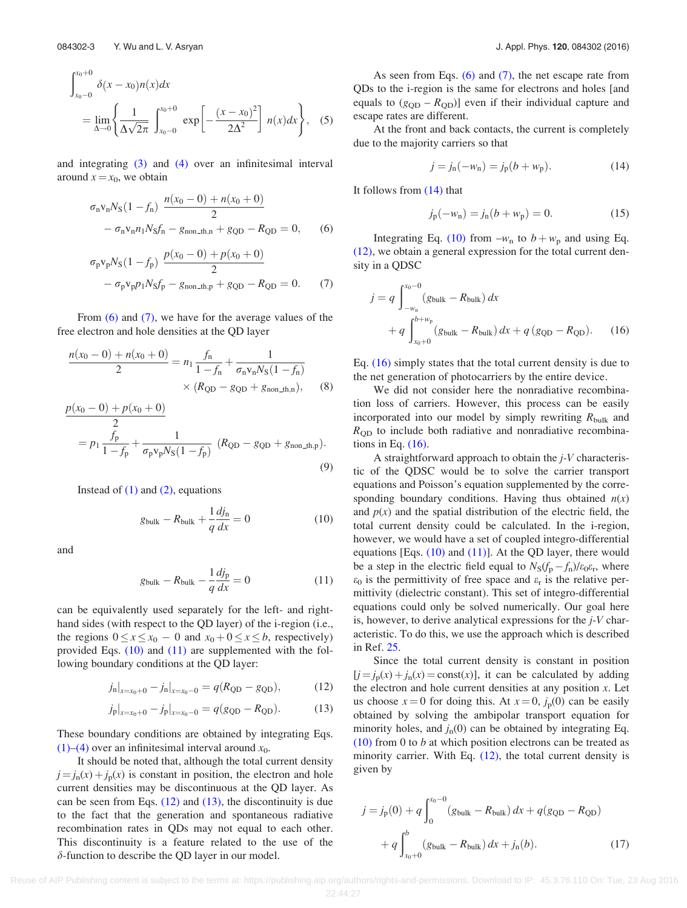<span id="page-3-0"></span>
$$
\int_{x_0-0}^{x_0+0} \delta(x-x_0)n(x)dx
$$
  
= 
$$
\lim_{\Delta \to 0} \left\{ \frac{1}{\Delta \sqrt{2\pi}} \int_{x_0-0}^{x_0+0} \exp\left[ -\frac{(x-x_0)^2}{2\Delta^2} \right] n(x)dx \right\},
$$
 (5)

and integrating [\(3\)](#page-2-0) and [\(4\)](#page-2-0) over an infinitesimal interval around  $x = x_0$ , we obtain

$$
\sigma_{n}v_{n}N_{S}(1-f_{n})\frac{n(x_{0}-0)+n(x_{0}+0)}{2}
$$

$$
-\sigma_{n}v_{n}n_{1}N_{S}f_{n}-g_{\text{non\_th},n}+g_{\text{QD}}-R_{\text{QD}}=0,
$$
(6)

$$
\sigma_{p}v_{p}N_{S}(1-f_{p})\frac{p(x_{0}-0)+p(x_{0}+0)}{2}
$$

$$
-\sigma_{p}v_{p}p_{1}N_{S}f_{p}-g_{\text{non\_th},p}+g_{\text{QD}}-R_{\text{QD}}=0.
$$
 (7)

From (6) and (7), we have for the average values of the free electron and hole densities at the QD layer

$$
\frac{n(x_0 - 0) + n(x_0 + 0)}{2} = n_1 \frac{f_n}{1 - f_n} + \frac{1}{\sigma_n v_n N_S (1 - f_n)}
$$
  
× (R<sub>QD</sub> - g<sub>QD</sub> + g<sub>non\_th,n</sub>), (8)

$$
\frac{p(x_0 - 0) + p(x_0 + 0)}{2}
$$
  
=  $p_1 \frac{f_p}{1 - f_p} + \frac{1}{\sigma_p v_p N_s (1 - f_p)}$  ( $R_{\text{QD}} - g_{\text{QD}} + g_{\text{non\_th,p}}$ ). (9)

Instead of  $(1)$  and  $(2)$ , equations

$$
g_{\text{bulk}} - R_{\text{bulk}} + \frac{1}{q} \frac{dj_n}{dx} = 0 \tag{10}
$$

and

$$
g_{\text{bulk}} - R_{\text{bulk}} - \frac{1}{q} \frac{dj_p}{dx} = 0 \tag{11}
$$

can be equivalently used separately for the left- and righthand sides (with respect to the QD layer) of the i-region (i.e., the regions  $0 \le x \le x_0 - 0$  and  $x_0 + 0 \le x \le b$ , respectively) provided Eqs. (10) and (11) are supplemented with the following boundary conditions at the QD layer:

$$
j_{n}|_{x=x_{0}+0} - j_{n}|_{x=x_{0}-0} = q(R_{\text{QD}} - g_{\text{QD}}),
$$
 (12)

$$
j_p|_{x=x_0+0} - j_p|_{x=x_0-0} = q(g_{\text{QD}} - R_{\text{QD}}).
$$
 (13)

These boundary conditions are obtained by integrating Eqs. [\(1\)–\(4\)](#page-2-0) over an infinitesimal interval around  $x_0$ .

It should be noted that, although the total current density  $j = j_n(x) + j_p(x)$  is constant in position, the electron and hole current densities may be discontinuous at the QD layer. As can be seen from Eqs.  $(12)$  and  $(13)$ , the discontinuity is due to the fact that the generation and spontaneous radiative recombination rates in QDs may not equal to each other. This discontinuity is a feature related to the use of the  $\delta$ -function to describe the QD layer in our model.

As seen from Eqs.  $(6)$  and  $(7)$ , the net escape rate from QDs to the i-region is the same for electrons and holes [and equals to  $(g_{OD} - R_{OD})$ ] even if their individual capture and escape rates are different.

At the front and back contacts, the current is completely due to the majority carriers so that

$$
j = j_n(-w_n) = j_p(b + w_p).
$$
 (14)

It follows from (14) that

$$
j_{p}(-w_{n}) = j_{n}(b + w_{p}) = 0.
$$
 (15)

Integrating Eq. (10) from  $-w_n$  to  $b + w_p$  and using Eq. (12), we obtain a general expression for the total current density in a QDSC

$$
j = q \int_{-w_n}^{x_0 - 0} (g_{\text{bulk}} - R_{\text{bulk}}) dx
$$
  
+ 
$$
q \int_{x_0 + 0}^{b + w_p} (g_{\text{bulk}} - R_{\text{bulk}}) dx + q (g_{\text{QD}} - R_{\text{QD}}).
$$
 (16)

Eq. (16) simply states that the total current density is due to the net generation of photocarriers by the entire device.

We did not consider here the nonradiative recombination loss of carriers. However, this process can be easily incorporated into our model by simply rewriting  $R_{\text{bulk}}$  and  $R_{\text{QD}}$  to include both radiative and nonradiative recombinations in Eq.  $(16)$ .

A straightforward approach to obtain the j-V characteristic of the QDSC would be to solve the carrier transport equations and Poisson's equation supplemented by the corresponding boundary conditions. Having thus obtained  $n(x)$ and  $p(x)$  and the spatial distribution of the electric field, the total current density could be calculated. In the i-region, however, we would have a set of coupled integro-differential equations [Eqs.  $(10)$  and  $(11)$ ]. At the QD layer, there would be a step in the electric field equal to  $N_S(f_p - f_n)/\varepsilon_0\varepsilon_r$ , where  $\varepsilon_0$  is the permittivity of free space and  $\varepsilon_r$  is the relative permittivity (dielectric constant). This set of integro-differential equations could only be solved numerically. Our goal here is, however, to derive analytical expressions for the  $i$ -V characteristic. To do this, we use the approach which is described in Ref. [25.](#page-12-0)

Since the total current density is constant in position  $[j = j_p(x) + j_n(x) = \text{const}(x)$ , it can be calculated by adding the electron and hole current densities at any position  $x$ . Let us choose  $x = 0$  for doing this. At  $x = 0$ ,  $j<sub>p</sub>(0)$  can be easily obtained by solving the ambipolar transport equation for minority holes, and  $j_n(0)$  can be obtained by integrating Eq.  $(10)$  from 0 to b at which position electrons can be treated as minority carrier. With Eq.  $(12)$ , the total current density is given by

$$
j = j_{p}(0) + q \int_{0}^{x_{0}-0} (g_{bulk} - R_{bulk}) dx + q(g_{QD} - R_{QD}) + q \int_{x_{0}+0}^{b} (g_{bulk} - R_{bulk}) dx + j_{n}(b).
$$
 (17)

Reuse of AIP Publishing content is subject to the terms at: https://publishing.aip.org/authors/rights-and-permissions. Download to IP: 45.3.76.110 On: Tue, 23 Aug 2016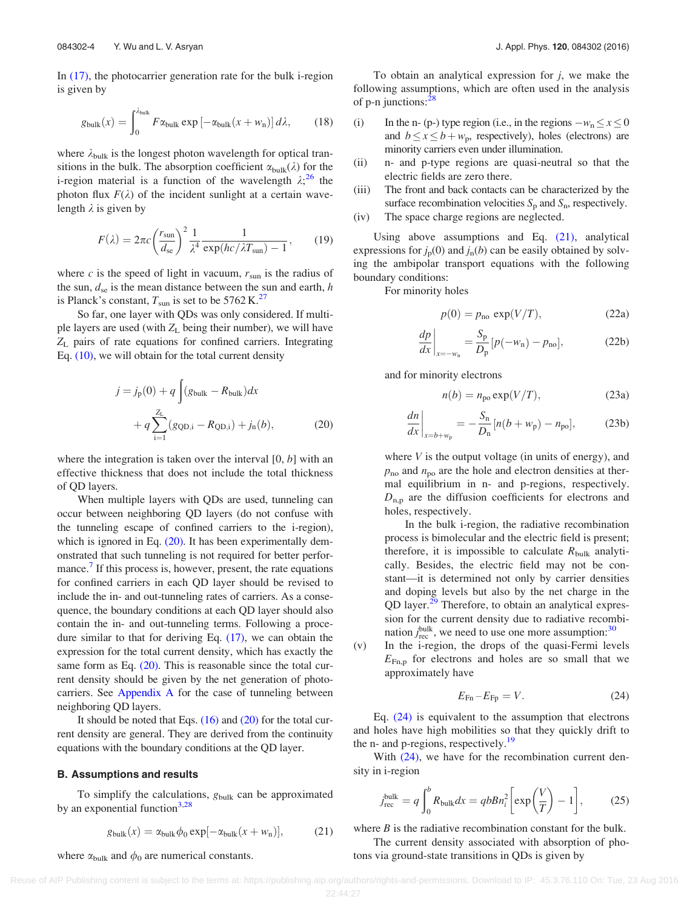<span id="page-4-0"></span>In [\(17\),](#page-3-0) the photocarrier generation rate for the bulk i-region is given by

$$
g_{\text{bulk}}(x) = \int_0^{\lambda_{\text{bulk}}} F \alpha_{\text{bulk}} \exp\left[-\alpha_{\text{bulk}}(x + w_{\text{n}})\right] d\lambda, \qquad (18)
$$

where  $\lambda_{\text{bulk}}$  is the longest photon wavelength for optical transitions in the bulk. The absorption coefficient  $\alpha_{\text{bulk}}(\lambda)$  for the i-region material is a function of the wavelength  $\lambda$ ;<sup>[26](#page-12-0)</sup> the photon flux  $F(\lambda)$  of the incident sunlight at a certain wavelength  $\lambda$  is given by

$$
F(\lambda) = 2\pi c \left(\frac{r_{\text{sun}}}{d_{\text{se}}}\right)^2 \frac{1}{\lambda^4} \frac{1}{\exp(hc/\lambda T_{\text{sun}}) - 1},\qquad(19)
$$

where c is the speed of light in vacuum,  $r_{\text{sun}}$  is the radius of the sun,  $d_{se}$  is the mean distance between the sun and earth, h is Planck's constant,  $T_{sun}$  is set to be 5762 K.<sup>[27](#page-12-0)</sup>

So far, one layer with QDs was only considered. If multiple layers are used (with  $Z_L$  being their number), we will have  $Z_L$  pairs of rate equations for confined carriers. Integrating Eq.  $(10)$ , we will obtain for the total current density

$$
j = j_{p}(0) + q \int (g_{bulk} - R_{bulk}) dx
$$
  
+  $q \sum_{i=1}^{Z_{L}} (g_{QD,i} - R_{QD,i}) + j_{n}(b),$  (20)

where the integration is taken over the interval  $[0, b]$  with an effective thickness that does not include the total thickness of QD layers.

When multiple layers with QDs are used, tunneling can occur between neighboring QD layers (do not confuse with the tunneling escape of confined carriers to the i-region), which is ignored in Eq.  $(20)$ . It has been experimentally demonstrated that such tunneling is not required for better performance.<sup>7</sup> If this process is, however, present, the rate equations for confined carriers in each QD layer should be revised to include the in- and out-tunneling rates of carriers. As a consequence, the boundary conditions at each QD layer should also contain the in- and out-tunneling terms. Following a procedure similar to that for deriving Eq. [\(17\),](#page-3-0) we can obtain the expression for the total current density, which has exactly the same form as Eq. (20). This is reasonable since the total current density should be given by the net generation of photocarriers. See [Appendix A](#page-10-0) for the case of tunneling between neighboring QD layers.

It should be noted that Eqs.  $(16)$  and  $(20)$  for the total current density are general. They are derived from the continuity equations with the boundary conditions at the QD layer.

#### B. Assumptions and results

To simplify the calculations,  $g_{bulk}$  can be approximated by an exponential function<sup>[3](#page-11-0)[,28](#page-12-0)</sup>

$$
g_{\text{bulk}}(x) = \alpha_{\text{bulk}} \phi_0 \exp[-\alpha_{\text{bulk}}(x + w_n)], \quad (21)
$$

where  $\alpha_{\text{bulk}}$  and  $\phi_0$  are numerical constants.

To obtain an analytical expression for  $j$ , we make the following assumptions, which are often used in the analysis of p-n junctions: $28$ 

- (i) In the n- (p-) type region (i.e., in the regions  $-w_n \le x \le 0$ and  $b \le x \le b + w_p$ , respectively), holes (electrons) are minority carriers even under illumination.
- (ii) n- and p-type regions are quasi-neutral so that the electric fields are zero there.
- (iii) The front and back contacts can be characterized by the surface recombination velocities  $S_p$  and  $S_n$ , respectively.
- (iv) The space charge regions are neglected.

Using above assumptions and Eq. (21), analytical expressions for  $j_p(0)$  and  $j_p(b)$  can be easily obtained by solving the ambipolar transport equations with the following boundary conditions:

For minority holes

$$
p(0) = pno exp(V/T), \t(22a)
$$

$$
\left. \frac{dp}{dx} \right|_{x=-w_n} = \frac{S_p}{D_p} [p(-w_n) - p_{no}],\tag{22b}
$$

and for minority electrons

$$
n(b) = n_{\text{po}} \exp(V/T), \tag{23a}
$$

$$
\left. \frac{dn}{dx} \right|_{x=b+w_{\rm p}} = -\frac{S_{\rm n}}{D_{\rm n}} [n(b+w_{\rm p}) - n_{\rm po}], \tag{23b}
$$

where  $V$  is the output voltage (in units of energy), and  $p_{\rm no}$  and  $n_{\rm po}$  are the hole and electron densities at thermal equilibrium in n- and p-regions, respectively.  $D_{\text{n.p}}$  are the diffusion coefficients for electrons and holes, respectively.

In the bulk i-region, the radiative recombination process is bimolecular and the electric field is present; therefore, it is impossible to calculate  $R_{\text{bulk}}$  analytically. Besides, the electric field may not be constant—it is determined not only by carrier densities and doping levels but also by the net charge in the QD layer.<sup>[29](#page-12-0)</sup> Therefore, to obtain an analytical expression for the current density due to radiative recombination  $j_{\text{rec}}^{\text{bulk}}$ , we need to use one more assumption:<sup>[30](#page-12-0)</sup>

(v) In the i-region, the drops of the quasi-Fermi levels  $E_{\text{Fn,p}}$  for electrons and holes are so small that we approximately have

$$
E_{\rm Fn} - E_{\rm FP} = V. \tag{24}
$$

Eq. (24) is equivalent to the assumption that electrons and holes have high mobilities so that they quickly drift to the n- and p-regions, respectively.<sup>[19](#page-11-0)</sup>

With  $(24)$ , we have for the recombination current density in i-region

$$
j_{\text{rec}}^{\text{bulk}} = q \int_0^b R_{\text{bulk}} dx = qbB n_i^2 \left[ \exp\left(\frac{V}{T}\right) - 1 \right],\tag{25}
$$

where  $B$  is the radiative recombination constant for the bulk.

The current density associated with absorption of photons via ground-state transitions in QDs is given by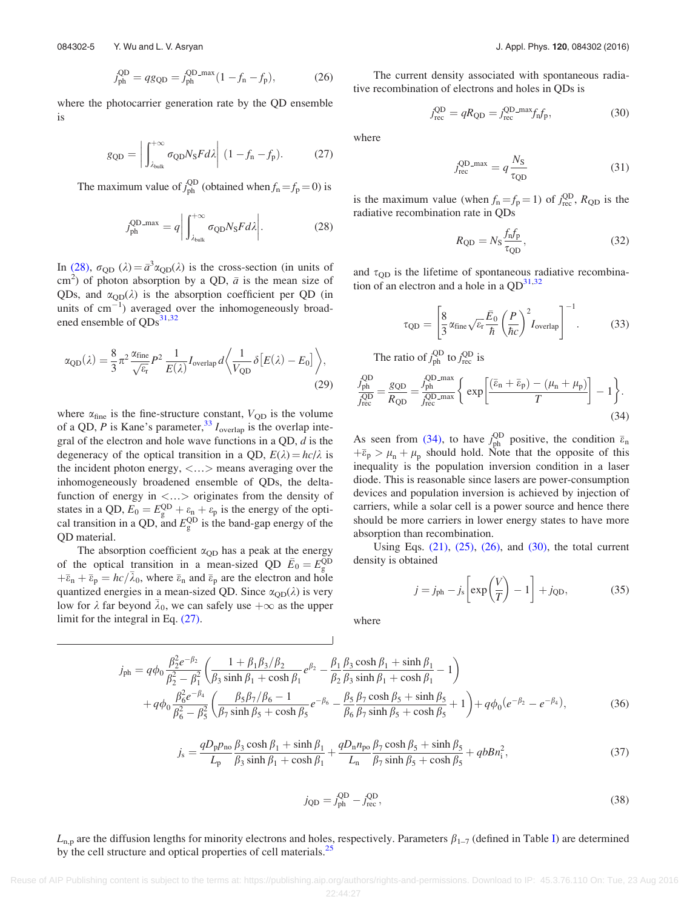$$
j_{\text{ph}}^{\text{QD}} = qg_{\text{QD}} = j_{\text{ph}}^{\text{QD-max}} (1 - f_{\text{n}} - f_{\text{p}}), \tag{26}
$$

<span id="page-5-0"></span>where the photocarrier generation rate by the QD ensemble is

$$
g_{\text{QD}} = \left| \int_{\lambda_{\text{bulk}}}^{+\infty} \sigma_{\text{QD}} N_{\text{S}} F d\lambda \right| (1 - f_{\text{n}} - f_{\text{p}}). \tag{27}
$$

The maximum value of  $j_{ph}^{QD}$  (obtained when  $f_n = f_p = 0$ ) is

$$
j_{\text{ph}}^{\text{QD\_max}} = q \bigg| \int_{\lambda_{\text{bulk}}}^{+\infty} \sigma_{\text{QD}} N_{\text{S}} F d\lambda \bigg|.
$$
 (28)

In (28),  $\sigma_{\text{QD}}(\lambda) = \bar{a}^3 \alpha_{\text{QD}}(\lambda)$  is the cross-section (in units of cm<sup>2</sup>) of photon absorption by a QD,  $\bar{a}$  is the mean size of QDs, and  $\alpha_{\text{QD}}(\lambda)$  is the absorption coefficient per QD (in units of  $cm^{-1}$ ) averaged over the inhomogeneously broad-ened ensemble of QDs<sup>[31,32](#page-12-0)</sup>

$$
\alpha_{\rm QD}(\lambda) = \frac{8}{3} \pi^2 \frac{\alpha_{\rm fine}}{\sqrt{\varepsilon_{\rm r}}} P^2 \frac{1}{E(\lambda)} I_{\rm overlap} d\left\langle \frac{1}{V_{\rm QD}} \delta \left[ E(\lambda) - E_0 \right] \right\rangle, \tag{29}
$$

where  $\alpha_{\text{fine}}$  is the fine-structure constant,  $V_{OD}$  is the volume of a QD, P is Kane's parameter,  $33 I_{\text{overlap}}$  $33 I_{\text{overlap}}$  is the overlap integral of the electron and hole wave functions in a QD,  $d$  is the degeneracy of the optical transition in a QD,  $E(\lambda) = hc/\lambda$  is the incident photon energy, <…> means averaging over the inhomogeneously broadened ensemble of QDs, the deltafunction of energy in  $\langle \ldots \rangle$  originates from the density of states in a QD,  $E_0 = E_g^{\text{QD}} + \varepsilon_n + \varepsilon_p$  is the energy of the optical transition in a QD, and  $E_g^{\text{QD}}$  is the band-gap energy of the QD material.

The absorption coefficient  $\alpha_{\text{QD}}$  has a peak at the energy of the optical transition in a mean-sized QD  $\bar{E}_0 = E_g^{\text{QD}}$  $+\bar{\varepsilon}_n + \bar{\varepsilon}_p = hc/\bar{\lambda}_0$ , where  $\bar{\varepsilon}_n$  and  $\bar{\varepsilon}_p$  are the electron and hole quantized energies in a mean-sized QD. Since  $\alpha_{OD}(\lambda)$  is very low for  $\lambda$  far beyond  $\bar{\lambda}_0$ , we can safely use  $+\infty$  as the upper limit for the integral in Eq. (27).

The current density associated with spontaneous radiative recombination of electrons and holes in QDs is

$$
j_{\text{rec}}^{\text{QD}} = qR_{\text{QD}} = j_{\text{rec}}^{\text{QD\_max}} f_{\text{n}} f_{\text{p}},\tag{30}
$$

where

$$
j_{\text{rec}}^{\text{QD-max}} = q \frac{N_{\text{S}}}{\tau_{\text{QD}}} \tag{31}
$$

is the maximum value (when  $f_n = f_p = 1$ ) of  $j_{\text{rec}}^{\text{QD}}$ ,  $R_{\text{QD}}$  is the radiative recombination rate in QDs

$$
R_{\rm QD} = N_{\rm S} \frac{f_{\rm n} f_{\rm p}}{\tau_{\rm QD}},\tag{32}
$$

and  $\tau_{\text{QD}}$  is the lifetime of spontaneous radiative recombination of an electron and a hole in a  $QD^{31,32}$  $QD^{31,32}$  $QD^{31,32}$ 

$$
\tau_{\rm QD} = \left[ \frac{8}{3} \alpha_{\rm fine} \sqrt{\varepsilon_{\rm r}} \frac{\bar{E}_0}{\hbar} \left( \frac{P}{\hbar c} \right)^2 I_{\rm overlap} \right]^{-1} . \tag{33}
$$

The ratio of  $j_{\text{ph}}^{\text{QD}}$  to  $j_{\text{rec}}^{\text{QD}}$  is

$$
\frac{j_{\text{ph}}^{\text{QD}}}{j_{\text{rec}}^{\text{QD}}} = \frac{g_{\text{QD}}}{R_{\text{QD}}} = \frac{j_{\text{ph}}^{\text{QD\_max}}}{j_{\text{rec}}^{\text{QD\_max}}} \left\{ \exp\left[\frac{(\bar{\varepsilon}_{\text{n}} + \bar{\varepsilon}_{\text{p}}) - (\mu_{\text{n}} + \mu_{\text{p}})}{T}\right] - 1 \right\}.
$$
\n(34)

As seen from (34), to have  $j_{ph}^{\text{QD}}$  positive, the condition  $\bar{\varepsilon}_n$  $+\bar{\epsilon}_p > \mu_n + \mu_p$  should hold. Note that the opposite of this inequality is the population inversion condition in a laser diode. This is reasonable since lasers are power-consumption devices and population inversion is achieved by injection of carriers, while a solar cell is a power source and hence there should be more carriers in lower energy states to have more absorption than recombination.

Using Eqs.  $(21)$ ,  $(25)$ ,  $(26)$ , and  $(30)$ , the total current density is obtained

$$
j = j_{\text{ph}} - j_{\text{s}} \left[ \exp\left(\frac{V}{T}\right) - 1 \right] + j_{\text{QD}}, \tag{35}
$$

where

$$
j_{\text{ph}} = q\phi_0 \frac{\beta_2^2 e^{-\beta_2}}{\beta_2^2 - \beta_1^2} \left( \frac{1 + \beta_1 \beta_3/\beta_2}{\beta_3 \sinh \beta_1 + \cosh \beta_1} e^{\beta_2} - \frac{\beta_1}{\beta_2} \frac{\beta_3 \cosh \beta_1 + \sinh \beta_1}{\beta_3 \sinh \beta_1 + \cosh \beta_1} - 1 \right) + q\phi_0 \frac{\beta_6^2 e^{-\beta_4}}{\beta_6^2 - \beta_5^2} \left( \frac{\beta_5 \beta_7/\beta_6 - 1}{\beta_5 \beta_7 + \cosh \beta_5} e^{-\beta_6} - \frac{\beta_5}{\beta_6} \frac{\beta_7 \cosh \beta_5 + \sinh \beta_5}{\beta_7 \sinh \beta_5 + \cosh \beta_5} + 1 \right) + q\phi_0 (e^{-\beta_2} - e^{-\beta_4}),
$$
(36)

$$
j_s = \frac{qD_p p_{\rm no}}{L_p} \frac{\beta_3 \cosh \beta_1 + \sinh \beta_1}{\beta_3 \sinh \beta_1 + \cosh \beta_1} + \frac{qD_n n_{\rm po}}{L_n} \frac{\beta_7 \cosh \beta_5 + \sinh \beta_5}{\beta_7 \sinh \beta_5 + \cosh \beta_5} + qbB n_i^2,\tag{37}
$$

$$
j_{\rm QD} = j_{\rm ph}^{\rm QD} - j_{\rm rec}^{\rm QD},\tag{38}
$$

 $L_{\rm n,p}$  are the diffusion lengths for minority electrons and holes, respectively. Parameters  $\beta_{1-7}$  (defined in Table [I](#page-6-0)) are determined by the cell structure and optical properties of cell materials.<sup>[25](#page-12-0)</sup>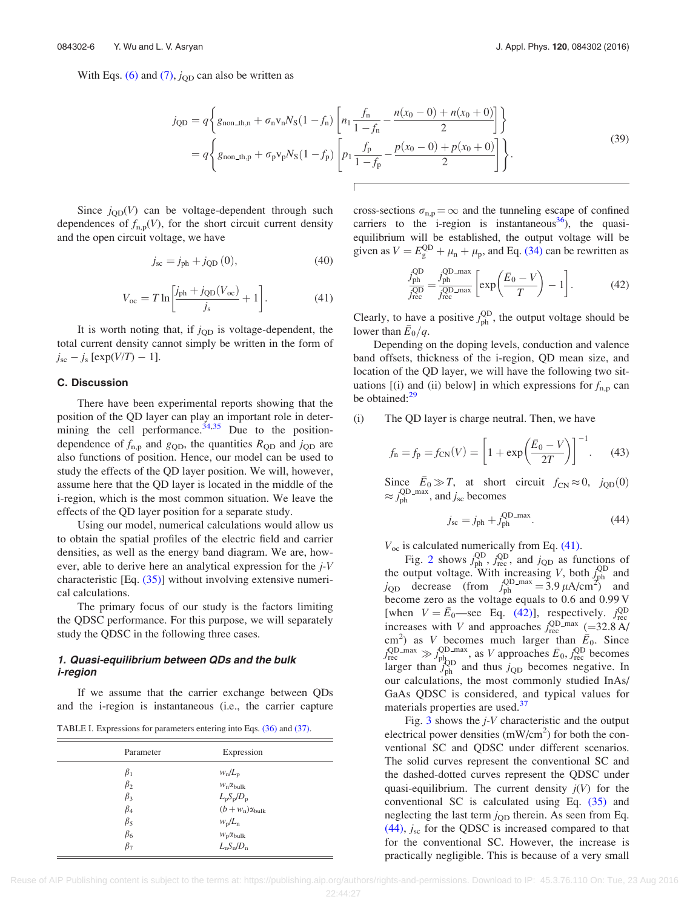<span id="page-6-0"></span>With Eqs. [\(6\)](#page-3-0) and [\(7\)](#page-3-0),  $j_{\text{QD}}$  can also be written as

$$
j_{\text{QD}} = q \left\{ g_{\text{non\_th},n} + \sigma_{\text{n}} v_{\text{n}} N_{\text{S}} (1 - f_{\text{n}}) \left[ n_1 \frac{f_{\text{n}}}{1 - f_{\text{n}}} - \frac{n(x_0 - 0) + n(x_0 + 0)}{2} \right] \right\}
$$
  
=  $q \left\{ g_{\text{non\_th},p} + \sigma_{\text{p}} v_{\text{p}} N_{\text{S}} (1 - f_{\text{p}}) \left[ p_1 \frac{f_{\text{p}}}{1 - f_{\text{p}}} - \frac{p(x_0 - 0) + p(x_0 + 0)}{2} \right] \right\}.$  (39)

Since  $j_{\text{QD}}(V)$  can be voltage-dependent through such dependences of  $f_{n,p}(V)$ , for the short circuit current density and the open circuit voltage, we have

$$
j_{\rm sc} = j_{\rm ph} + j_{\rm QD} (0), \tag{40}
$$

$$
V_{\rm oc} = T \ln \left[ \frac{j_{\rm ph} + j_{\rm QD}(V_{\rm oc})}{j_{\rm s}} + 1 \right]. \tag{41}
$$

It is worth noting that, if  $j_{\text{QD}}$  is voltage-dependent, the total current density cannot simply be written in the form of  $j_{\rm sc} - j_{\rm s}$  [exp( $V/T$ ) – 1].

### C. Discussion

There have been experimental reports showing that the position of the QD layer can play an important role in determining the cell performance. $34,35$  Due to the positiondependence of  $f_{\text{n,p}}$  and  $g_{\text{QD}}$ , the quantities  $R_{\text{QD}}$  and  $j_{\text{QD}}$  are also functions of position. Hence, our model can be used to study the effects of the QD layer position. We will, however, assume here that the QD layer is located in the middle of the i-region, which is the most common situation. We leave the effects of the QD layer position for a separate study.

Using our model, numerical calculations would allow us to obtain the spatial profiles of the electric field and carrier densities, as well as the energy band diagram. We are, however, able to derive here an analytical expression for the j-V characteristic [Eq. [\(35\)\]](#page-5-0) without involving extensive numerical calculations.

The primary focus of our study is the factors limiting the QDSC performance. For this purpose, we will separately study the QDSC in the following three cases.

## 1. Quasi-equilibrium between QDs and the bulk i-region

If we assume that the carrier exchange between QDs and the i-region is instantaneous (i.e., the carrier capture

TABLE I. Expressions for parameters entering into Eqs. [\(36\)](#page-5-0) and [\(37\).](#page-5-0)

| Parameter                                                                  | Expression                                                                                                                                           |
|----------------------------------------------------------------------------|------------------------------------------------------------------------------------------------------------------------------------------------------|
| $\beta_1$<br>$\beta_2$<br>$\beta_3$<br>$\beta_4$<br>$\beta_5$<br>$\beta_6$ | $w_n/L_p$<br>$W_n \alpha_{bulk}$<br>$L_{\rm p}S_{\rm p}/D_{\rm p}$<br>$(b+w_{\rm n})\alpha_{\rm bulk}$<br>$w_p/L_n$<br>$W_{\rm p} \alpha_{\rm bulk}$ |
| $\beta_7$                                                                  | $L_nS_n/D_n$                                                                                                                                         |

cross-sections  $\sigma_{n,p} = \infty$  and the tunneling escape of confined carriers to the i-region is instantaneous<sup>[36](#page-12-0)</sup>), the quasiequilibrium will be established, the output voltage will be given as  $V = E_{\text{g}}^{\text{QD}} + \mu_{\text{n}} + \mu_{\text{p}}$ , and Eq. [\(34\)](#page-5-0) can be rewritten as

$$
\frac{J_{\text{ph}}^{\text{QD}}}{J_{\text{rec}}^{\text{QD}}} = \frac{J_{\text{ph}}^{\text{QD\_max}}}{J_{\text{rec}}^{\text{QD\_max}}} \left[ \exp\left(\frac{\bar{E}_0 - V}{T}\right) - 1 \right].
$$
 (42)

Clearly, to have a positive  $j_{ph}^{QD}$ , the output voltage should be lower than  $\bar{E}_0/q$ .

Depending on the doping levels, conduction and valence band offsets, thickness of the i-region, QD mean size, and location of the QD layer, we will have the following two situations [(i) and (ii) below] in which expressions for  $f_{\text{n,p}}$  can be obtained:<sup>[29](#page-12-0)</sup>

#### (i) The QD layer is charge neutral. Then, we have

$$
f_{\rm n} = f_{\rm p} = f_{\rm CN}(V) = \left[1 + \exp\left(\frac{\bar{E}_0 - V}{2T}\right)\right]^{-1}.
$$
 (43)

Since  $\bar{E}_0 \gg T$ , at short circuit  $f_{CN} \approx 0$ ,  $j_{QD}(0)$  $\approx j_{\rm ph}^{\rm QD-max}$ , and  $j_{\rm sc}$  becomes

$$
j_{\rm sc} = j_{\rm ph} + j_{\rm ph}^{\rm QD\_max}.
$$
 (44)

 $V_{\text{oc}}$  is calculated numerically from Eq. (41).

Fig. [2](#page-7-0) shows  $j_{\text{ph}}^{\text{QD}}$ ,  $j_{\text{rec}}^{\text{QD}}$ , and  $j_{\text{QD}}$  as functions of the output voltage. With increasing V, both  $\int_{\text{ph}}^{\text{QD}}$  and  $j_{\text{QD}}$  decrease (from  $j_{\text{ph}}^{\text{QD-max}} = 3.9 \,\mu\text{A/cm}^2$ ) and become zero as the voltage equals to 0.6 and 0.99 V [when  $V = \bar{E}_0$ —see Eq. (42)], respectively.  $j_{\text{rec}}^{\text{QD}}$ increases with V and approaches  $j_{\text{rec}}^{\text{QD-max}}$  (=32.8 A/ cm<sup>2</sup>) as V becomes much larger than  $\bar{E}_0$ . Since  $j_{\text{rec}}^{\text{QD\_max}} \gg j_{\text{ph}_{\text{DD}}}^{\text{QD\_max}}$ , as V approaches  $\bar{E}_0$ ,  $j_{\text{rec}}^{\text{QD}}$  becomes larger than  $j_{ph}^{PQD}$  and thus  $j_{QD}$  becomes negative. In our calculations, the most commonly studied InAs/ GaAs QDSC is considered, and typical values for materials properties are used.<sup>[37](#page-12-0)</sup>

Fig.  $3$  shows the  $j$ -V characteristic and the output electrical power densities  $(mW/cm<sup>2</sup>)$  for both the conventional SC and QDSC under different scenarios. The solid curves represent the conventional SC and the dashed-dotted curves represent the QDSC under quasi-equilibrium. The current density  $j(V)$  for the conventional SC is calculated using Eq. [\(35\)](#page-5-0) and neglecting the last term  $j_{\text{QD}}$  therein. As seen from Eq.  $(44)$ ,  $j<sub>sc</sub>$  for the QDSC is increased compared to that for the conventional SC. However, the increase is practically negligible. This is because of a very small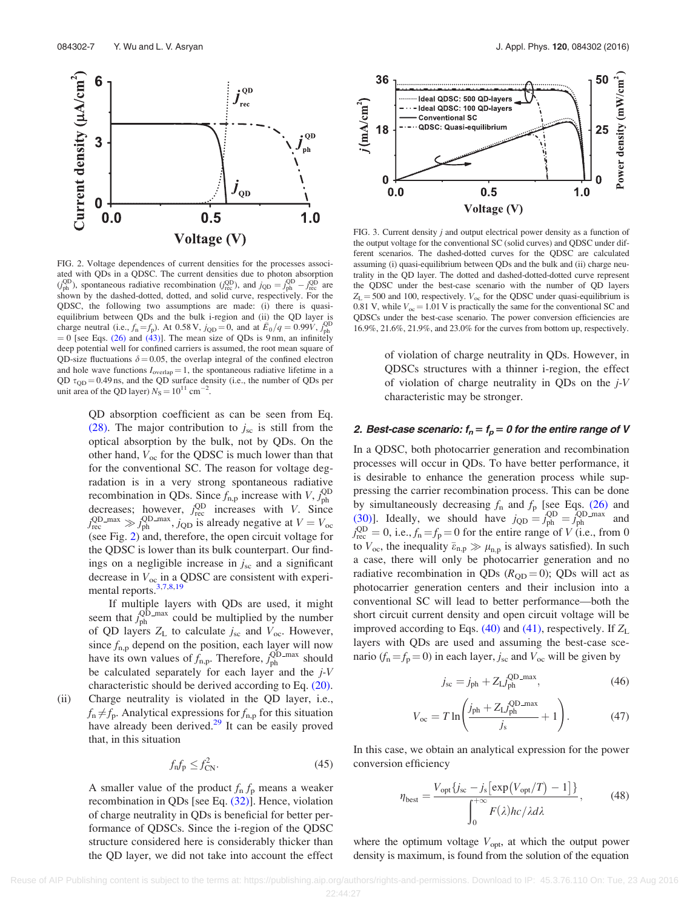<span id="page-7-0"></span>

FIG. 2. Voltage dependences of current densities for the processes associated with QDs in a QDSC. The current densities due to photon absorption  $(j_{ph}^{QD})$ , spontaneous radiative recombination  $(j_{rec}^{QD})$ , and  $j_{QD} = j_{ph}^{QD} - j_{rec}^{QD}$  are shown by the dashed-dotted, dotted, and solid curve, respectively. For the QDSC, the following two assumptions are made: (i) there is quasiequilibrium between QDs and the bulk i-region and (ii) the QD layer is charge neutral (i.e.,  $f_n = f_p$ ). At 0.58 V,  $j_{QD} = 0$ , and at  $\bar{E}_0 / q = 0.99V$ ,  $j_{ph}^{QD}$  $= 0$  [see Eqs. [\(26\)](#page-4-0) and [\(43\)](#page-6-0)]. The mean size of QDs is 9 nm, an infinitely deep potential well for confined carriers is assumed, the root mean square of QD-size fluctuations  $\delta = 0.05$ , the overlap integral of the confined electron and hole wave functions  $I_{\text{overlap}} = 1$ , the spontaneous radiative lifetime in a QD  $\tau_{\text{QD}} = 0.49 \text{ ns}$ , and the QD surface density (i.e., the number of QDs per unit area of the QD layer)  $N_S = 10^{11}$  cm<sup>-2</sup>.

QD absorption coefficient as can be seen from Eq. [\(28\).](#page-5-0) The major contribution to  $j_{\rm sc}$  is still from the optical absorption by the bulk, not by QDs. On the other hand,  $V_{oc}$  for the QDSC is much lower than that for the conventional SC. The reason for voltage degradation is in a very strong spontaneous radiative recombination in QDs. Since  $f_{\text{n,p}}$  increase with  $V, j_{\text{ph}}^{\text{QD}}$ decreases; however,  $j_{\text{rec}}^{\text{QD}}$  increases with *V*. Since  $j_{\text{rec}}^{\text{QD\_max}} \gg j_{\text{ph}}^{\text{QD\_max}}$ ,  $j_{\text{QD}}$  is already negative at  $V = V_{\text{occ}}$ (see Fig. 2) and, therefore, the open circuit voltage for the QDSC is lower than its bulk counterpart. Our findings on a negligible increase in  $j_{\rm sc}$  and a significant decrease in  $V_{\text{oc}}$  in a QDSC are consistent with experimental reports[.3](#page-11-0),[7,8,19](#page-11-0)

If multiple layers with QDs are used, it might seem that  $j_{ph}^{QD_{\text{max}}}$  could be multiplied by the number of QD layers  $Z_L$  to calculate  $j_{\rm sc}$  and  $V_{\rm oc}$ . However, since  $f_{\text{n,p}}$  depend on the position, each layer will now have its own values of  $f_{\text{n,p}}$ . Therefore,  $j_{\text{ph}}^{\text{QD-max}}$  should be calculated separately for each layer and the  $j$ -V characteristic should be derived according to Eq. [\(20\)](#page-4-0).

(ii) Charge neutrality is violated in the QD layer, i.e.,  $f_n \neq f_p$ . Analytical expressions for  $f_{n,p}$  for this situation have already been derived.<sup>[29](#page-12-0)</sup> It can be easily proved that, in this situation

$$
f_{\rm n}f_{\rm p}\leq f_{\rm CN}^2.\tag{45}
$$

A smaller value of the product  $f_n f_p$  means a weaker recombination in QDs [see Eq. [\(32\)](#page-5-0)]. Hence, violation of charge neutrality in QDs is beneficial for better performance of QDSCs. Since the i-region of the QDSC structure considered here is considerably thicker than the QD layer, we did not take into account the effect



FIG. 3. Current density j and output electrical power density as a function of the output voltage for the conventional SC (solid curves) and QDSC under different scenarios. The dashed-dotted curves for the QDSC are calculated assuming (i) quasi-equilibrium between QDs and the bulk and (ii) charge neutrality in the QD layer. The dotted and dashed-dotted-dotted curve represent the QDSC under the best-case scenario with the number of QD layers  $Z_{\rm L}$  = 500 and 100, respectively.  $V_{\rm oc}$  for the QDSC under quasi-equilibrium is 0.81 V, while  $V_{\text{oc}} = 1.01$  V is practically the same for the conventional SC and QDSCs under the best-case scenario. The power conversion efficiencies are 16.9%, 21.6%, 21.9%, and 23.0% for the curves from bottom up, respectively.

of violation of charge neutrality in QDs. However, in QDSCs structures with a thinner i-region, the effect of violation of charge neutrality in QDs on the  $i$ -V characteristic may be stronger.

## 2. Best-case scenario:  $f_n = f_p = 0$  for the entire range of V

In a QDSC, both photocarrier generation and recombination processes will occur in QDs. To have better performance, it is desirable to enhance the generation process while suppressing the carrier recombination process. This can be done by simultaneously decreasing  $f_n$  and  $f_p$  [see Eqs. [\(26\)](#page-4-0) and [\(30\)\]](#page-5-0). Ideally, we should have  $j_{\text{QD}} = j_{\text{ph}}^{\text{QD}} = j_{\text{ph}}^{\text{QD}}$  and  $j_{\text{rec}}^{\text{QD}} = 0$ , i.e.,  $f_n = f_p = 0$  for the entire range of V (i.e., from 0 to  $V_{\text{oc}}$ , the inequality  $\bar{\varepsilon}_{\text{n,p}} \gg \mu_{\text{n,p}}$  is always satisfied). In such a case, there will only be photocarrier generation and no radiative recombination in QDs ( $R_{OD} = 0$ ); QDs will act as photocarrier generation centers and their inclusion into a conventional SC will lead to better performance—both the short circuit current density and open circuit voltage will be improved according to Eqs. [\(40\)](#page-6-0) and [\(41\),](#page-6-0) respectively. If  $Z_L$ layers with QDs are used and assuming the best-case scenario ( $f_n = f_p = 0$ ) in each layer,  $j_{sc}$  and  $V_{oc}$  will be given by

$$
j_{\rm sc} = j_{\rm ph} + Z_{\rm L} j_{\rm ph}^{\rm QD\_max},\tag{46}
$$

$$
V_{\rm oc} = T \ln \left( \frac{j_{\rm ph} + Z_{\rm L} j_{\rm ph}^{\rm QD\_max}}{j_{\rm s}} + 1 \right). \tag{47}
$$

In this case, we obtain an analytical expression for the power conversion efficiency

$$
\eta_{\text{best}} = \frac{V_{\text{opt}}\{j_{\text{sc}} - j_{\text{s}}\left[\exp(V_{\text{opt}}/T) - 1\right]\}}{\int_0^{+\infty} F(\lambda)hc/\lambda d\lambda},\tag{48}
$$

where the optimum voltage  $V_{\text{opt}}$ , at which the output power density is maximum, is found from the solution of the equation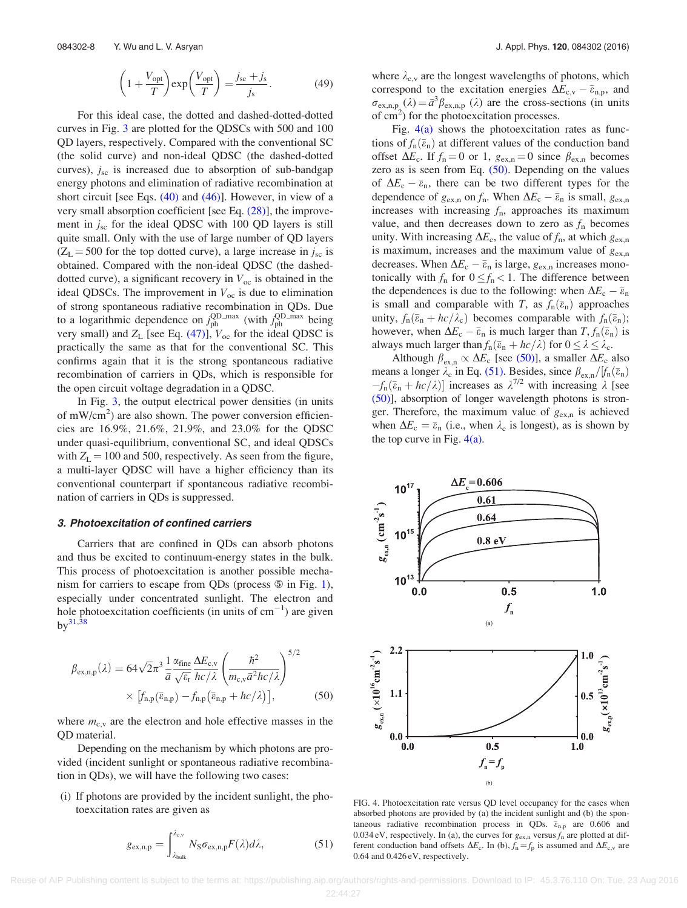$$
\left(1 + \frac{V_{\text{opt}}}{T}\right) \exp\left(\frac{V_{\text{opt}}}{T}\right) = \frac{j_{\text{sc}} + j_{\text{s}}}{j_{\text{s}}}.
$$
 (49)

<span id="page-8-0"></span>For this ideal case, the dotted and dashed-dotted-dotted curves in Fig. [3](#page-7-0) are plotted for the QDSCs with 500 and 100 QD layers, respectively. Compared with the conventional SC (the solid curve) and non-ideal QDSC (the dashed-dotted curves),  $j_{\rm sc}$  is increased due to absorption of sub-bandgap energy photons and elimination of radiative recombination at short circuit [see Eqs.  $(40)$  and  $(46)$ ]. However, in view of a very small absorption coefficient [see Eq. [\(28\)\]](#page-5-0), the improvement in  $j_{\rm sc}$  for the ideal QDSC with 100 QD layers is still quite small. Only with the use of large number of QD layers  $(Z_L = 500$  for the top dotted curve), a large increase in  $j_{\rm sc}$  is obtained. Compared with the non-ideal QDSC (the dasheddotted curve), a significant recovery in  $V_{\text{oc}}$  is obtained in the ideal QDSCs. The improvement in  $V_{\text{oc}}$  is due to elimination of strong spontaneous radiative recombination in QDs. Due to a logarithmic dependence on  $j_{ph}^{\text{QD-max}}$  (with  $j_{ph}^{\text{QD-max}}$  being very small) and  $Z_L$  [see Eq. [\(47\)](#page-7-0)],  $V_{\text{oc}}$  for the ideal QDSC is practically the same as that for the conventional SC. This confirms again that it is the strong spontaneous radiative recombination of carriers in QDs, which is responsible for the open circuit voltage degradation in a QDSC.

In Fig. [3,](#page-7-0) the output electrical power densities (in units of mW/cm<sup>2</sup>) are also shown. The power conversion efficiencies are 16.9%, 21.6%, 21.9%, and 23.0% for the QDSC under quasi-equilibrium, conventional SC, and ideal QDSCs with  $Z_L = 100$  and 500, respectively. As seen from the figure, a multi-layer QDSC will have a higher efficiency than its conventional counterpart if spontaneous radiative recombination of carriers in QDs is suppressed.

### 3. Photoexcitation of confined carriers

Carriers that are confined in QDs can absorb photons and thus be excited to continuum-energy states in the bulk. This process of photoexcitation is another possible mechanism for carriers to escape from QDs (process  $\circledast$  in Fig. [1](#page-2-0)), especially under concentrated sunlight. The electron and hole photoexcitation coefficients (in units of  $cm^{-1}$ ) are given  $bv^{31,38}$ 

$$
\beta_{\text{ex},n,p}(\lambda) = 64\sqrt{2}\pi^3 \frac{1}{\bar{a}} \frac{\alpha_{\text{fine}}}{\sqrt{\varepsilon_r}} \frac{\Delta E_{\text{c},v}}{hc/\lambda} \left(\frac{\hbar^2}{m_{\text{c},v}\bar{a}^2hc/\lambda}\right)^{5/2} \times \left[f_{n,p}(\bar{\varepsilon}_{n,p}) - f_{n,p}(\bar{\varepsilon}_{n,p} + hc/\lambda)\right],
$$
\n(50)

where  $m_{c,v}$  are the electron and hole effective masses in the QD material.

Depending on the mechanism by which photons are provided (incident sunlight or spontaneous radiative recombination in QDs), we will have the following two cases:

(i) If photons are provided by the incident sunlight, the photoexcitation rates are given as

$$
g_{\text{ex,n,p}} = \int_{\lambda_{\text{bulk}}}^{\lambda_{\text{ex}}} N_{\text{S}} \sigma_{\text{ex,n,p}} F(\lambda) d\lambda, \tag{51}
$$

where  $\lambda_{c,v}$  are the longest wavelengths of photons, which correspond to the excitation energies  $\Delta E_{c,v} - \overline{\varepsilon}_{n,p}$ , and  $\sigma_{\text{ex},n,p}(\lambda) = \bar{a}^3 \beta_{\text{ex},n,p}(\lambda)$  are the cross-sections (in units of  $\text{cm}^2$ ) for the photoexcitation processes.

Fig.  $4(a)$  shows the photoexcitation rates as functions of  $f_n(\bar{\epsilon}_n)$  at different values of the conduction band offset  $\Delta E_c$ . If  $f_n = 0$  or 1,  $g_{\text{ex,n}} = 0$  since  $\beta_{\text{ex,n}}$  becomes zero as is seen from Eq. (50). Depending on the values of  $\Delta E_c - \bar{\varepsilon}_n$ , there can be two different types for the dependence of  $g_{\text{ex,n}}$  on  $f_n$ . When  $\Delta E_c - \bar{\varepsilon}_n$  is small,  $g_{\text{ex,n}}$ increases with increasing  $f_n$ , approaches its maximum value, and then decreases down to zero as  $f_n$  becomes unity. With increasing  $\Delta E_c$ , the value of  $f_n$ , at which  $g_{\text{ex},n}$ is maximum, increases and the maximum value of  $g_{\text{ex},n}$ decreases. When  $\Delta E_c - \bar{\varepsilon}_n$  is large,  $g_{\text{ex,n}}$  increases monotonically with  $f_n$  for  $0 \le f_n < 1$ . The difference between the dependences is due to the following: when  $\Delta E_c - \bar{\varepsilon}_n$ is small and comparable with T, as  $f_n(\bar{\epsilon}_n)$  approaches unity,  $f_n(\bar{\varepsilon}_n + hc/\lambda_c)$  becomes comparable with  $f_n(\bar{\varepsilon}_n)$ ; however, when  $\Delta E_c - \bar{\varepsilon}_n$  is much larger than  $T, f_n(\bar{\varepsilon}_n)$  is always much larger than  $f_n(\bar{\varepsilon}_n + hc/\lambda)$  for  $0 \le \lambda \le \lambda_c$ .

Although  $\beta_{\text{ex,n}} \propto \Delta E_c$  [see (50)], a smaller  $\Delta E_c$  also means a longer  $\lambda_c$  in Eq. (51). Besides, since  $\beta_{\rm ex,n}/[f_n(\bar{e}_n)]$  $-f_n(\bar{\varepsilon}_n + hc/\lambda)$ ] increases as  $\lambda^{7/2}$  with increasing  $\lambda$  [see (50)], absorption of longer wavelength photons is stronger. Therefore, the maximum value of  $g_{\text{ex,n}}$  is achieved when  $\Delta E_c = \bar{\varepsilon}_n$  (i.e., when  $\lambda_c$  is longest), as is shown by the top curve in Fig.  $4(a)$ .



FIG. 4. Photoexcitation rate versus QD level occupancy for the cases when absorbed photons are provided by (a) the incident sunlight and (b) the spontaneous radiative recombination process in QDs.  $\bar{\varepsilon}_{n,p}$  are 0.606 and 0.034 eV, respectively. In (a), the curves for  $g_{\text{ex},n}$  versus  $f_n$  are plotted at different conduction band offsets  $\Delta E_c$ . In (b),  $f_n = f_p$  is assumed and  $\Delta E_{c,v}$  are 0.64 and 0.426 eV, respectively.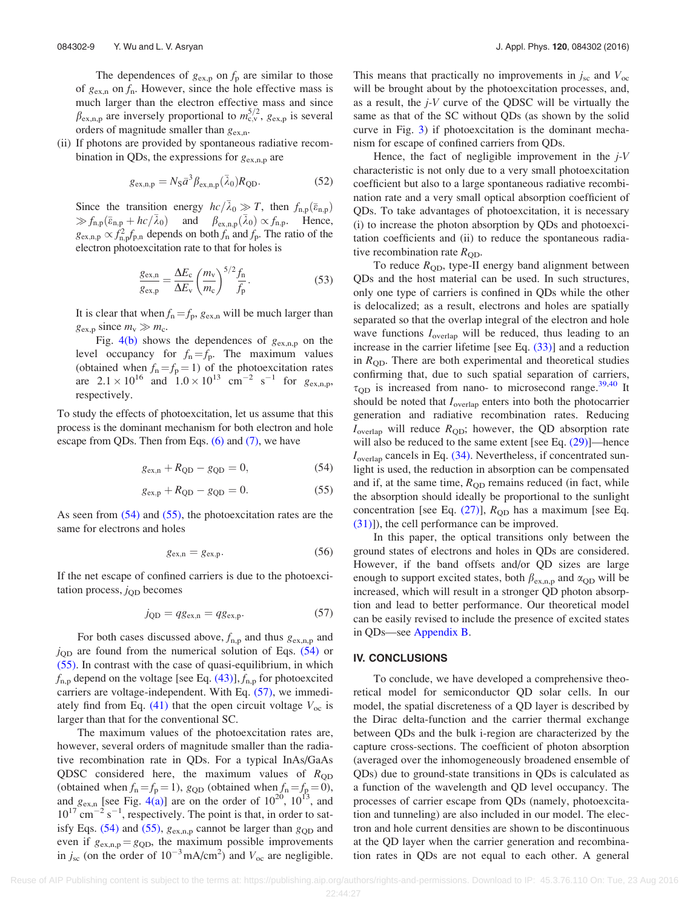The dependences of  $g_{\text{ex},p}$  on  $f_p$  are similar to those of  $g_{\text{ex,n}}$  on  $f_n$ . However, since the hole effective mass is much larger than the electron effective mass and since  $\beta_{\text{ex},n,p}$  are inversely proportional to  $m_{\text{c},v}^{5/2}$ ,  $g_{\text{ex},p}$  is several orders of magnitude smaller than  $g_{\text{ex},n}$ .

(ii) If photons are provided by spontaneous radiative recombination in QDs, the expressions for  $g_{\text{ex},n,p}$  are

$$
g_{\text{ex,n,p}} = N_{\text{S}} \bar{a}^3 \beta_{\text{ex,n,p}} (\bar{\lambda}_0) R_{\text{QD}}.
$$
 (52)

Since the transition energy  $hc/\bar{\lambda}_0 \gg T$ , then  $f_{n,p}(\bar{\varepsilon}_{n,p})$  $\gg f_{n,p}(\bar{\varepsilon}_{n,p} + hc/\bar{\lambda}_0)$  and  $\beta_{\text{ex},n,p}(\bar{\lambda}_0) \propto f_{n,p}$ . Hence,  $g_{\text{ex},n,p} \propto f_{n,p}^2 f_{p,n}$  depends on both  $f_n$  and  $f_p$ . The ratio of the electron photoexcitation rate to that for holes is

$$
\frac{g_{\text{ex,n}}}{g_{\text{ex,p}}} = \frac{\Delta E_{\text{c}}}{\Delta E_{\text{v}}} \left(\frac{m_{\text{v}}}{m_{\text{c}}}\right)^{5/2} \frac{f_{\text{n}}}{f_{\text{p}}}.
$$
(53)

It is clear that when  $f_n = f_p$ ,  $g_{ex,n}$  will be much larger than  $g_{\text{ex},p}$  since  $m_v \gg m_c$ .

Fig.  $4(b)$  shows the dependences of  $g_{\text{ex},n,p}$  on the level occupancy for  $f_n = f_p$ . The maximum values (obtained when  $f_n = f_p = 1$ ) of the photoexcitation rates are  $2.1 \times 10^{16}$  and  $1.0 \times 10^{13}$  cm<sup>-2</sup> s<sup>-1</sup> for  $g_{\text{ex,n,p}}$ , respectively.

To study the effects of photoexcitation, let us assume that this process is the dominant mechanism for both electron and hole escape from QDs. Then from Eqs.  $(6)$  and  $(7)$ , we have

$$
g_{\text{ex,n}} + R_{\text{QD}} - g_{\text{QD}} = 0, \tag{54}
$$

$$
g_{\text{ex},p} + R_{\text{QD}} - g_{\text{QD}} = 0. \tag{55}
$$

As seen from  $(54)$  and  $(55)$ , the photoexcitation rates are the same for electrons and holes

$$
g_{\text{ex,n}} = g_{\text{ex,p}}.\tag{56}
$$

If the net escape of confined carriers is due to the photoexcitation process,  $j_{\text{QD}}$  becomes

$$
j_{\rm QD} = qg_{\rm ex,n} = qg_{\rm ex,p}.\tag{57}
$$

For both cases discussed above,  $f_{n,p}$  and thus  $g_{\text{ex},n,p}$  and  $j_{\text{QD}}$  are found from the numerical solution of Eqs. (54) or (55). In contrast with the case of quasi-equilibrium, in which  $f_{\rm n,p}$  depend on the voltage [see Eq. [\(43\)\]](#page-6-0),  $f_{\rm n,p}$  for photoexcited carriers are voltage-independent. With Eq. (57), we immedi-ately find from Eq. [\(41\)](#page-6-0) that the open circuit voltage  $V_{\text{oc}}$  is larger than that for the conventional SC.

The maximum values of the photoexcitation rates are, however, several orders of magnitude smaller than the radiative recombination rate in QDs. For a typical InAs/GaAs QDSC considered here, the maximum values of  $R_{\text{QD}}$ (obtained when  $f_n = f_p = 1$ ),  $g_{QD}$  (obtained when  $f_n = f_p = 0$ ), and  $g_{\text{ex,n}}$  [see Fig. [4\(a\)\]](#page-8-0) are on the order of  $10^{20}$ ,  $10^{13}$ , and  $10^{17}$  cm<sup>-2</sup> s<sup>-1</sup>, respectively. The point is that, in order to satisfy Eqs. (54) and (55),  $g_{\text{ex},n,p}$  cannot be larger than  $g_{\text{QD}}$  and even if  $g_{\text{ex},n,p} = g_{\text{QD}}$ , the maximum possible improvements in  $j_{\rm sc}$  (on the order of  $10^{-3}$  mA/cm<sup>2</sup>) and  $V_{\rm oc}$  are negligible.

This means that practically no improvements in  $j_{\rm sc}$  and  $V_{\rm oc}$ will be brought about by the photoexcitation processes, and, as a result, the j-V curve of the QDSC will be virtually the same as that of the SC without QDs (as shown by the solid curve in Fig. [3](#page-7-0)) if photoexcitation is the dominant mechanism for escape of confined carriers from QDs.

Hence, the fact of negligible improvement in the  $j$ -V characteristic is not only due to a very small photoexcitation coefficient but also to a large spontaneous radiative recombination rate and a very small optical absorption coefficient of QDs. To take advantages of photoexcitation, it is necessary (i) to increase the photon absorption by QDs and photoexcitation coefficients and (ii) to reduce the spontaneous radiative recombination rate  $R_{OD}$ .

To reduce  $R_{\text{QD}}$ , type-II energy band alignment between QDs and the host material can be used. In such structures, only one type of carriers is confined in QDs while the other is delocalized; as a result, electrons and holes are spatially separated so that the overlap integral of the electron and hole wave functions  $I_{\text{overlap}}$  will be reduced, thus leading to an increase in the carrier lifetime [see Eq. [\(33\)](#page-5-0)] and a reduction in  $R_{OD}$ . There are both experimental and theoretical studies confirming that, due to such spatial separation of carriers,  $\tau_{OD}$  is increased from nano- to microsecond range.<sup>39,40</sup> It should be noted that  $I_{\text{overlap}}$  enters into both the photocarrier generation and radiative recombination rates. Reducing  $I_{\text{overlap}}$  will reduce  $R_{\text{OD}}$ ; however, the QD absorption rate will also be reduced to the same extent [see Eq.  $(29)$ ]—hence  $I_{\text{overlap}}$  cancels in Eq. [\(34\)](#page-5-0). Nevertheless, if concentrated sunlight is used, the reduction in absorption can be compensated and if, at the same time,  $R_{OD}$  remains reduced (in fact, while the absorption should ideally be proportional to the sunlight concentration [see Eq.  $(27)$ ],  $R_{OD}$  has a maximum [see Eq. [\(31\)\]](#page-5-0)), the cell performance can be improved.

In this paper, the optical transitions only between the ground states of electrons and holes in QDs are considered. However, if the band offsets and/or QD sizes are large enough to support excited states, both  $\beta_{\text{ex},n,p}$  and  $\alpha_{\text{QD}}$  will be increased, which will result in a stronger QD photon absorption and lead to better performance. Our theoretical model can be easily revised to include the presence of excited states in QDs—see [Appendix B.](#page-11-0)

#### IV. CONCLUSIONS

To conclude, we have developed a comprehensive theoretical model for semiconductor QD solar cells. In our model, the spatial discreteness of a QD layer is described by the Dirac delta-function and the carrier thermal exchange between QDs and the bulk i-region are characterized by the capture cross-sections. The coefficient of photon absorption (averaged over the inhomogeneously broadened ensemble of QDs) due to ground-state transitions in QDs is calculated as a function of the wavelength and QD level occupancy. The processes of carrier escape from QDs (namely, photoexcitation and tunneling) are also included in our model. The electron and hole current densities are shown to be discontinuous at the QD layer when the carrier generation and recombination rates in QDs are not equal to each other. A general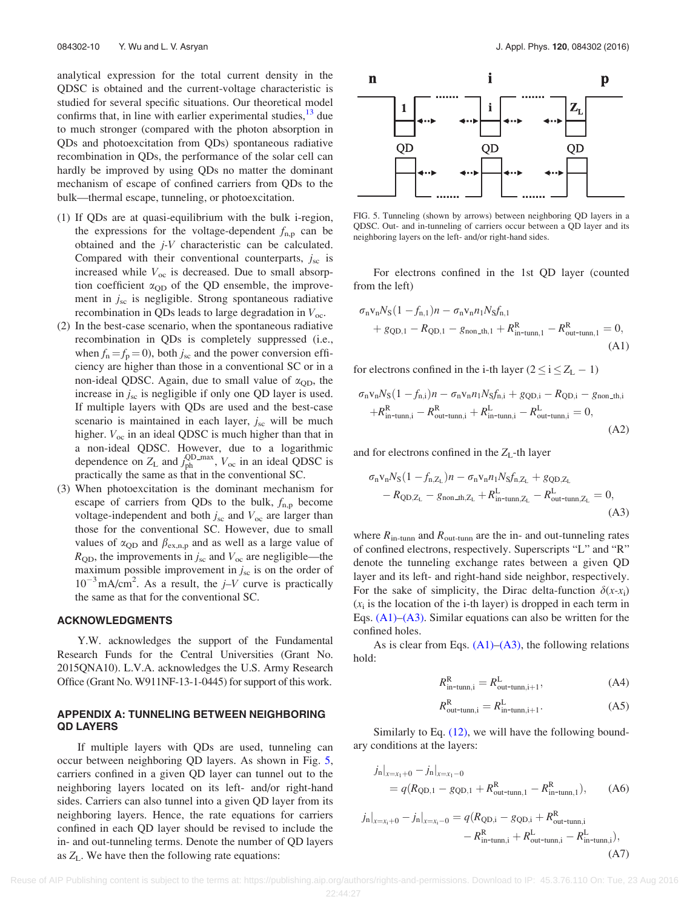<span id="page-10-0"></span>analytical expression for the total current density in the QDSC is obtained and the current-voltage characteristic is studied for several specific situations. Our theoretical model confirms that, in line with earlier experimental studies,  $^{13}$  $^{13}$  $^{13}$  due to much stronger (compared with the photon absorption in QDs and photoexcitation from QDs) spontaneous radiative recombination in QDs, the performance of the solar cell can hardly be improved by using QDs no matter the dominant mechanism of escape of confined carriers from QDs to the bulk—thermal escape, tunneling, or photoexcitation.

- (1) If QDs are at quasi-equilibrium with the bulk i-region, the expressions for the voltage-dependent  $f_{n,p}$  can be obtained and the j-V characteristic can be calculated. Compared with their conventional counterparts,  $j_{\rm sc}$  is increased while  $V_{\text{oc}}$  is decreased. Due to small absorption coefficient  $\alpha_{\text{QD}}$  of the QD ensemble, the improvement in  $j_{\rm sc}$  is negligible. Strong spontaneous radiative recombination in QDs leads to large degradation in  $V_{\text{oc}}$ .
- (2) In the best-case scenario, when the spontaneous radiative recombination in QDs is completely suppressed (i.e., when  $f_n = f_p = 0$ , both  $j_{sc}$  and the power conversion efficiency are higher than those in a conventional SC or in a non-ideal QDSC. Again, due to small value of  $\alpha_{OD}$ , the increase in  $j_{\rm sc}$  is negligible if only one QD layer is used. If multiple layers with QDs are used and the best-case scenario is maintained in each layer,  $j_{\rm sc}$  will be much higher.  $V_{\text{oc}}$  in an ideal QDSC is much higher than that in a non-ideal QDSC. However, due to a logarithmic dependence on  $Z_L$  and  $j_{ph}^{\text{QD-max}}$ ,  $V_{oc}$  in an ideal QDSC is practically the same as that in the conventional SC.
- (3) When photoexcitation is the dominant mechanism for escape of carriers from QDs to the bulk,  $f_{n,p}$  become voltage-independent and both  $j_{\rm sc}$  and  $V_{\rm oc}$  are larger than those for the conventional SC. However, due to small values of  $\alpha_{\text{OD}}$  and  $\beta_{\text{ex},n,p}$  and as well as a large value of  $R_{\text{QD}}$ , the improvements in  $j_{\text{sc}}$  and  $V_{\text{oc}}$  are negligible—the maximum possible improvement in  $j_{\rm sc}$  is on the order of  $10^{-3}$  mA/cm<sup>2</sup>. As a result, the  $j-V$  curve is practically the same as that for the conventional SC.

### ACKNOWLEDGMENTS

Y.W. acknowledges the support of the Fundamental Research Funds for the Central Universities (Grant No. 2015QNA10). L.V.A. acknowledges the U.S. Army Research Office (Grant No. W911NF-13-1-0445) for support of this work.

## APPENDIX A: TUNNELING BETWEEN NEIGHBORING QD LAYERS

If multiple layers with QDs are used, tunneling can occur between neighboring QD layers. As shown in Fig. 5, carriers confined in a given QD layer can tunnel out to the neighboring layers located on its left- and/or right-hand sides. Carriers can also tunnel into a given QD layer from its neighboring layers. Hence, the rate equations for carriers confined in each QD layer should be revised to include the in- and out-tunneling terms. Denote the number of QD layers as  $Z_L$ . We have then the following rate equations:



FIG. 5. Tunneling (shown by arrows) between neighboring QD layers in a QDSC. Out- and in-tunneling of carriers occur between a QD layer and its neighboring layers on the left- and/or right-hand sides.

For electrons confined in the 1st QD layer (counted from the left)

$$
\sigma_n v_n N_S (1 - f_{n,1}) n - \sigma_n v_n n_1 N_S f_{n,1} + g_{\text{QD},1} - R_{\text{QD},1} - g_{\text{non\_th},1} + R_{\text{in-tunn},1}^R - R_{\text{out-tunn},1}^R = 0,
$$
\n(A1)

for electrons confined in the i-th layer  $(2 \le i \le Z_L - 1)$ 

$$
\sigma_{n}v_{n}N_{S}(1-f_{n,i})n - \sigma_{n}v_{n}n_{1}N_{S}f_{n,i} + g_{\text{QD},i} - R_{\text{QD},i} - g_{\text{non\_th},i}
$$

$$
+R_{\text{in-tunn},i}^{R} - R_{\text{out-tunn},i}^{R} + R_{\text{in-tunn},i}^{L} - R_{\text{out-tunn},i}^{L} = 0,
$$
(A2)

and for electrons confined in the  $Z_L$ -th layer

$$
\sigma_{n}v_{n}N_{S}(1 - f_{n,Z_{L}})n - \sigma_{n}v_{n}n_{1}N_{S}f_{n,Z_{L}} + g_{QD,Z_{L}} - R_{QD,Z_{L}} - g_{non\_th,Z_{L}} + R_{in-tunn,Z_{L}}^{L} - R_{out-tunn,Z_{L}}^{L} = 0,
$$
\n(A3)

where  $R_{\text{in-tunn}}$  and  $R_{\text{out-tunn}}$  are the in- and out-tunneling rates of confined electrons, respectively. Superscripts "L" and "R" denote the tunneling exchange rates between a given QD layer and its left- and right-hand side neighbor, respectively. For the sake of simplicity, the Dirac delta-function  $\delta(x-x_i)$  $(x<sub>i</sub>$  is the location of the i-th layer) is dropped in each term in Eqs. (A1)–(A3). Similar equations can also be written for the confined holes.

As is clear from Eqs.  $(A1)$ – $(A3)$ , the following relations hold:

$$
R_{\text{in-tunn,i}}^{\text{R}} = R_{\text{out-tunn,i+1}}^{\text{L}},\tag{A4}
$$

$$
R_{\text{out-tunn},i}^{\text{R}} = R_{\text{in-tunn},i+1}^{\text{L}}.\tag{A5}
$$

Similarly to Eq. [\(12\),](#page-3-0) we will have the following boundary conditions at the layers:

$$
j_{n}|_{x=x_{1}+0} - j_{n}|_{x=x_{1}-0}
$$
  
=  $q(R_{\text{QD},1} - g_{\text{QD},1} + R_{\text{out-tunn},1}^{R} - R_{\text{in-tunn},1}^{R}),$  (A6)

$$
\begin{split} j_{\rm n}|_{x=x_{\rm i}+0} - j_{\rm n}|_{x=x_{\rm i}-0} &= q(R_{\rm QD,i} - g_{\rm QD,i} + R_{\rm out-tunn,i}^{\rm R} \\ &- R_{\rm in-tunn,i}^{\rm R} + R_{\rm out-tunn,i}^{\rm L} - R_{\rm in-tunn,i}^{\rm L}), \end{split} \tag{A7}
$$

Reuse of AIP Publishing content is subject to the terms at: https://publishing.aip.org/authors/rights-and-permissions. Download to IP: 45.3.76.110 On: Tue, 23 Aug 2016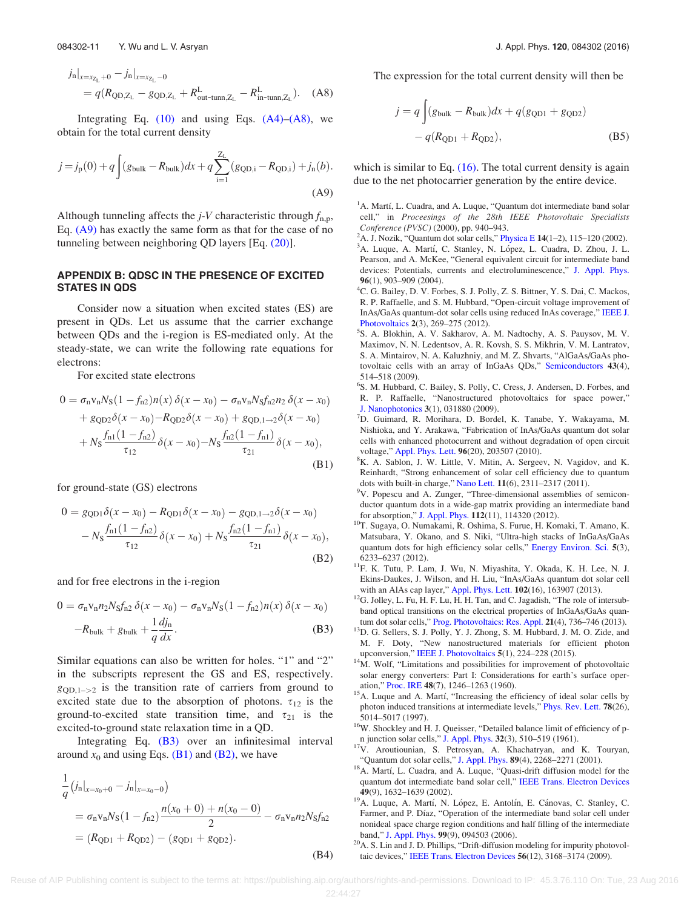<span id="page-11-0"></span>
$$
\begin{split} j_{\rm n}|_{x=x_{Z_{\rm L}}+0} - j_{\rm n}|_{x=x_{Z_{\rm L}}-0} \\ &= q(R_{\rm QD,Z_{\rm L}} - g_{\rm QD,Z_{\rm L}} + R_{\rm out-tunn,Z_{\rm L}}^{\rm L} - R_{\rm in-tunn,Z_{\rm L}}^{\rm L}). \end{split} \tag{A8}
$$

Integrating Eq.  $(10)$  and using Eqs.  $(A4)$ – $(A8)$ , we obtain for the total current density

$$
j = j_{p}(0) + q \int (g_{bulk} - R_{bulk})dx + q \sum_{i=1}^{Z_{L}} (g_{QD,i} - R_{QD,i}) + j_{n}(b).
$$
\n(A9)

Although tunneling affects the  $j$ -V characteristic through  $f_{\text{n.p.}}$ Eq. (A9) has exactly the same form as that for the case of no tunneling between neighboring QD layers [Eq. [\(20\)\]](#page-4-0).

## APPENDIX B: QDSC IN THE PRESENCE OF EXCITED STATES IN QDS

Consider now a situation when excited states (ES) are present in QDs. Let us assume that the carrier exchange between QDs and the i-region is ES-mediated only. At the steady-state, we can write the following rate equations for electrons:

For excited state electrons

$$
0 = \sigma_{n}v_{n}N_{S}(1 - f_{n2})n(x)\delta(x - x_{0}) - \sigma_{n}v_{n}N_{S}f_{n2}n_{2}\delta(x - x_{0})
$$
  
+  $g_{QD2}\delta(x - x_{0}) - R_{QD2}\delta(x - x_{0}) + g_{QD,1} \rightarrow \delta(x - x_{0})$   
+  $N_{S}\frac{f_{n1}(1 - f_{n2})}{\tau_{12}}\delta(x - x_{0}) - N_{S}\frac{f_{n2}(1 - f_{n1})}{\tau_{21}}\delta(x - x_{0}),$   
(B1)

for ground-state (GS) electrons

$$
0 = g_{\text{QD1}}\delta(x - x_0) - R_{\text{QD1}}\delta(x - x_0) - g_{\text{QD},1 \to 2}\delta(x - x_0)
$$

$$
- N_S \frac{f_{\text{n1}}(1 - f_{\text{n2}})}{\tau_{12}} \delta(x - x_0) + N_S \frac{f_{\text{n2}}(1 - f_{\text{n1}})}{\tau_{21}} \delta(x - x_0),
$$
(B2)

and for free electrons in the i-region

$$
0 = \sigma_{\rm n} v_{\rm n} n_2 N_{\rm S} f_{\rm n2} \, \delta(x - x_0) - \sigma_{\rm n} v_{\rm n} N_{\rm S} (1 - f_{\rm n2}) n(x) \, \delta(x - x_0)
$$

$$
-R_{\rm bulk} + g_{\rm bulk} + \frac{1}{q} \frac{dj_{\rm n}}{dx}.
$$
 (B3)

Similar equations can also be written for holes. "1" and "2" in the subscripts represent the GS and ES, respectively.  $g_{OD,1->2}$  is the transition rate of carriers from ground to excited state due to the absorption of photons.  $\tau_{12}$  is the ground-to-excited state transition time, and  $\tau_{21}$  is the excited-to-ground state relaxation time in a QD.

Integrating Eq. (B3) over an infinitesimal interval around  $x_0$  and using Eqs. (B1) and (B2), we have

$$
\frac{1}{q} (j_n|_{x=x_0+0} - j_n|_{x=x_0-0})
$$
\n
$$
= \sigma_n v_n N_S (1 - f_{n2}) \frac{n(x_0 + 0) + n(x_0 - 0)}{2} - \sigma_n v_n n_2 N_S f_{n2}
$$
\n
$$
= (R_{\text{QD1}} + R_{\text{QD2}}) - (g_{\text{QD1}} + g_{\text{QD2}}).
$$
\n(B4)

The expression for the total current density will then be

$$
j = q \int (g_{bulk} - R_{bulk})dx + q(g_{QD1} + g_{QD2})
$$

$$
- q(R_{QD1} + R_{QD2}),
$$
(B5)

which is similar to Eq.  $(16)$ . The total current density is again due to the net photocarrier generation by the entire device.

<sup>1</sup>A. Martí, L. Cuadra, and A. Luque, "Quantum dot intermediate band solar cell," in Proceesings of the 28th IEEE Photovoltaic Specialists Conference (PVSC) (2000), pp. 940–943. <sup>2</sup>

- <sup>2</sup>A. J. Nozik, "Quantum dot solar cells," [Physica E](http://dx.doi.org/10.1016/S1386-9477(02)00374-0) 14(1–2), 115–120 (2002). <sup>3</sup>A. Luque, A. Martí, C. Stanley, N. López, L. Cuadra, D. Zhou, J. L.
- Pearson, and A. McKee, "General equivalent circuit for intermediate band devices: Potentials, currents and electroluminescence," [J. Appl. Phys.](http://dx.doi.org/10.1063/1.1760836) <sup>96</sup>(1), 903–909 (2004). <sup>4</sup>
- <sup>4</sup>C. G. Bailey, D. V. Forbes, S. J. Polly, Z. S. Bittner, Y. S. Dai, C. Mackos, R. P. Raffaelle, and S. M. Hubbard, "Open-circuit voltage improvement of InAs/GaAs quantum-dot solar cells using reduced InAs coverage," [IEEE J.](http://dx.doi.org/10.1109/JPHOTOV.2012.2189047) [Photovoltaics](http://dx.doi.org/10.1109/JPHOTOV.2012.2189047) 2(3), 269-275 (2012).
- S. A. Blokhin, A. V. Sakharov, A. M. Nadtochy, A. S. Pauysov, M. V. Maximov, N. N. Ledentsov, A. R. Kovsh, S. S. Mikhrin, V. M. Lantratov, S. A. Mintairov, N. A. Kaluzhniy, and M. Z. Shvarts, "AlGaAs/GaAs photovoltaic cells with an array of InGaAs QDs," [Semiconductors](http://dx.doi.org/10.1134/S1063782609040204) 43(4), 514–518 (2009).
- 6 S. M. Hubbard, C. Bailey, S. Polly, C. Cress, J. Andersen, D. Forbes, and R. P. Raffaelle, "Nanostructured photovoltaics for space power," [J. Nanophotonics](http://dx.doi.org/10.1117/1.3266502) 3(1), 031880 (2009).
- D. Guimard, R. Morihara, D. Bordel, K. Tanabe, Y. Wakayama, M. Nishioka, and Y. Arakawa, "Fabrication of InAs/GaAs quantum dot solar cells with enhanced photocurrent and without degradation of open circuit voltage," [Appl. Phys. Lett.](http://dx.doi.org/10.1063/1.3427392) 96(20), 203507 (2010).
- <sup>8</sup>K. A. Sablon, J. W. Little, V. Mitin, A. Sergeev, N. Vagidov, and K. Reinhardt, "Strong enhancement of solar cell efficiency due to quantum dots with built-in charge," [Nano Lett.](http://dx.doi.org/10.1021/nl200543v) 11(6), 2311-2317 (2011).
- <sup>9</sup>V. Popescu and A. Zunger, "Three-dimensional assemblies of semiconductor quantum dots in a wide-gap matrix providing an intermediate band<br>for absorption," J. Appl. Phys. 112(11), 114320 (2012).
- $^{10}$ T. Sugaya, O. Numakami, R. Oshima, S. Furue, H. Komaki, T. Amano, K. Matsubara, Y. Okano, and S. Niki, "Ultra-high stacks of InGaAs/GaAs quantum dots for high efficiency solar cells," [Energy Environ. Sci.](http://dx.doi.org/10.1039/c2ee01930b) 5(3),
- 6233–6237 (2012). 11F. K. Tutu, P. Lam, J. Wu, N. Miyashita, Y. Okada, K. H. Lee, N. J. Ekins-Daukes, J. Wilson, and H. Liu, "InAs/GaAs quantum dot solar cell
- $^{12}$ G. Jolley, L. Fu, H. F. Lu, H. H. Tan, and C. Jagadish, "The role of intersubband optical transitions on the electrical properties of InGaAs/GaAs quan-
- tum dot solar cells," [Prog. Photovoltaics: Res. Appl.](http://dx.doi.org/10.1002/pip.2161) 21(4), 736–746 (2013). <sup>13</sup>D. G. Sellers, S. J. Polly, Y. J. Zhong, S. M. Hubbard, J. M. O. Zide, and M. F. Doty, "New nanostructured materials for efficient photon
- upconversion," [IEEE J. Photovoltaics](http://dx.doi.org/10.1109/JPHOTOV.2014.2367865)  $5(1)$ , 224–228 (2015). <sup>14</sup>M. Wolf, "Limitations and possibilities for improvement of photovoltaic solar energy converters: Part I: Considerations for earth's surface oper-
- ation," [Proc. IRE](http://dx.doi.org/10.1109/JRPROC.1960.287647) 48(7), 1246–1263 (1960). <sup>15</sup>A. Luque and A. Martí, "Increasing the efficiency of ideal solar cells by photon induced transitions at intermediate levels," [Phys. Rev. Lett.](http://dx.doi.org/10.1103/PhysRevLett.78.5014) 78(26), 5014–5017 (1997).
- <sup>16</sup>W. Shockley and H. J. Queisser, "Detailed balance limit of efficiency of p-
- n junction solar cells," [J. Appl. Phys.](http://dx.doi.org/10.1063/1.1736034) <sup>32</sup>(3), 510–519 (1961). 17V. Aroutiounian, S. Petrosyan, A. Khachatryan, and K. Touryan,
- "Quantum dot solar cells," [J. Appl. Phys.](http://dx.doi.org/10.1063/1.1339210) <sup>89</sup>(4), 2268–2271 (2001). 18A. Martı, L. Cuadra, and A. Luque, "Quasi-drift diffusion model for the quantum dot intermediate band solar cell," [IEEE Trans. Electron Devices](http://dx.doi.org/10.1109/TED.2002.802642)
- 49(9), 1632–1639 (2002).<br><sup>19</sup>A. Luque, A. Martí, N. López, E. Antolín, E. Cánovas, C. Stanley, C. Farmer, and P. Díaz, "Operation of the intermediate band solar cell under nonideal space charge region conditions and half filling of the intermediate
- band," [J. Appl. Phys.](http://dx.doi.org/10.1063/1.2193063)  $99(9)$ , 094503 (2006).<br><sup>20</sup>A. S. Lin and J. D. Phillips, "Drift-diffusion modeling for impurity photovoltaic devices," [IEEE Trans. Electron Devices](http://dx.doi.org/10.1109/TED.2009.2032741) 56(12), 3168–3174 (2009).